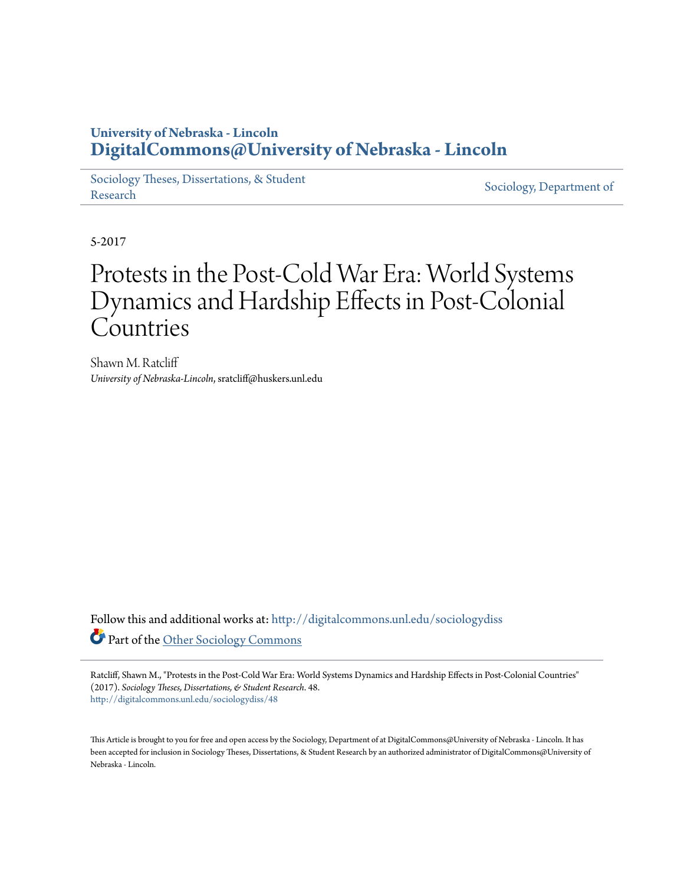## **University of Nebraska - Lincoln [DigitalCommons@University of Nebraska - Lincoln](http://digitalcommons.unl.edu?utm_source=digitalcommons.unl.edu%2Fsociologydiss%2F48&utm_medium=PDF&utm_campaign=PDFCoverPages)**

[Sociology Theses, Dissertations, & Student](http://digitalcommons.unl.edu/sociologydiss?utm_source=digitalcommons.unl.edu%2Fsociologydiss%2F48&utm_medium=PDF&utm_campaign=PDFCoverPages) [Research](http://digitalcommons.unl.edu/sociologydiss?utm_source=digitalcommons.unl.edu%2Fsociologydiss%2F48&utm_medium=PDF&utm_campaign=PDFCoverPages) Sociology, Dissertations, & Student [Sociology, Department of](http://digitalcommons.unl.edu/sociology?utm_source=digitalcommons.unl.edu%2Fsociologydiss%2F48&utm_medium=PDF&utm_campaign=PDFCoverPages)

5-2017

# Protests in the Post-Cold War Era: World Systems Dynamics and Hardship Effects in Post-Colonial Countries

Shawn M. Ratcliff *University of Nebraska-Lincoln*, sratcliff@huskers.unl.edu

Follow this and additional works at: [http://digitalcommons.unl.edu/sociologydiss](http://digitalcommons.unl.edu/sociologydiss?utm_source=digitalcommons.unl.edu%2Fsociologydiss%2F48&utm_medium=PDF&utm_campaign=PDFCoverPages) Part of the [Other Sociology Commons](http://network.bepress.com/hgg/discipline/434?utm_source=digitalcommons.unl.edu%2Fsociologydiss%2F48&utm_medium=PDF&utm_campaign=PDFCoverPages)

Ratcliff, Shawn M., "Protests in the Post-Cold War Era: World Systems Dynamics and Hardship Effects in Post-Colonial Countries" (2017). *Sociology Theses, Dissertations, & Student Research*. 48. [http://digitalcommons.unl.edu/sociologydiss/48](http://digitalcommons.unl.edu/sociologydiss/48?utm_source=digitalcommons.unl.edu%2Fsociologydiss%2F48&utm_medium=PDF&utm_campaign=PDFCoverPages)

This Article is brought to you for free and open access by the Sociology, Department of at DigitalCommons@University of Nebraska - Lincoln. It has been accepted for inclusion in Sociology Theses, Dissertations, & Student Research by an authorized administrator of DigitalCommons@University of Nebraska - Lincoln.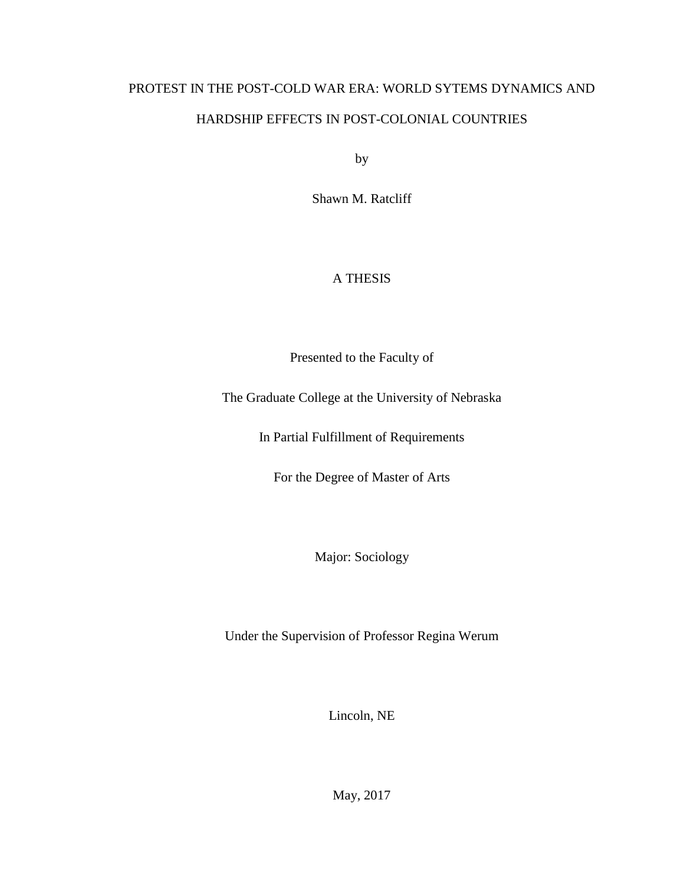## PROTEST IN THE POST-COLD WAR ERA: WORLD SYTEMS DYNAMICS AND HARDSHIP EFFECTS IN POST-COLONIAL COUNTRIES

by

Shawn M. Ratcliff

### A THESIS

Presented to the Faculty of

The Graduate College at the University of Nebraska

In Partial Fulfillment of Requirements

For the Degree of Master of Arts

Major: Sociology

Under the Supervision of Professor Regina Werum

Lincoln, NE

May, 2017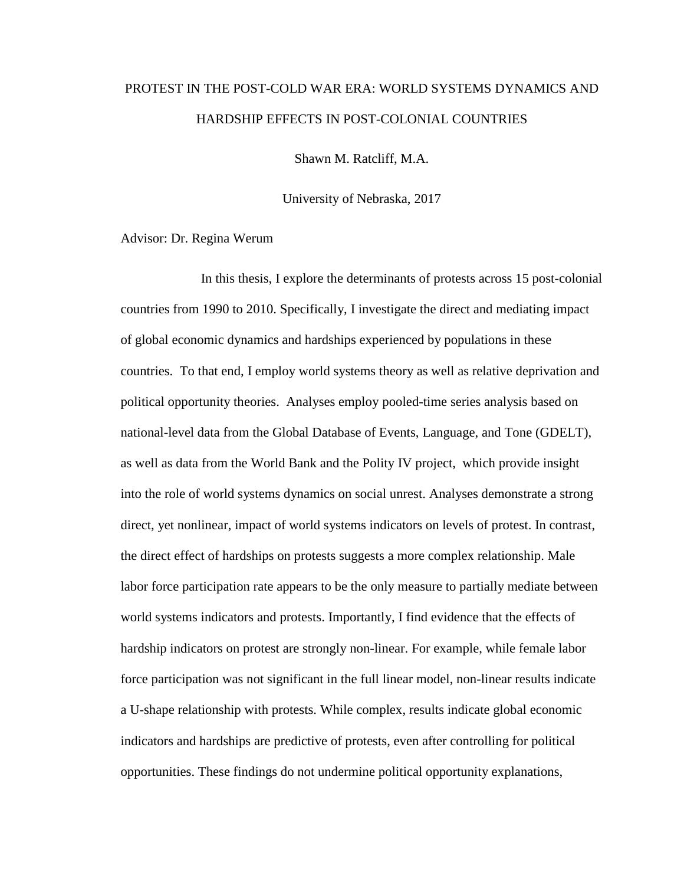## PROTEST IN THE POST-COLD WAR ERA: WORLD SYSTEMS DYNAMICS AND HARDSHIP EFFECTS IN POST-COLONIAL COUNTRIES

Shawn M. Ratcliff, M.A.

University of Nebraska, 2017

Advisor: Dr. Regina Werum

In this thesis, I explore the determinants of protests across 15 post-colonial countries from 1990 to 2010. Specifically, I investigate the direct and mediating impact of global economic dynamics and hardships experienced by populations in these countries. To that end, I employ world systems theory as well as relative deprivation and political opportunity theories. Analyses employ pooled-time series analysis based on national-level data from the Global Database of Events, Language, and Tone (GDELT), as well as data from the World Bank and the Polity IV project, which provide insight into the role of world systems dynamics on social unrest. Analyses demonstrate a strong direct, yet nonlinear, impact of world systems indicators on levels of protest. In contrast, the direct effect of hardships on protests suggests a more complex relationship. Male labor force participation rate appears to be the only measure to partially mediate between world systems indicators and protests. Importantly, I find evidence that the effects of hardship indicators on protest are strongly non-linear. For example, while female labor force participation was not significant in the full linear model, non-linear results indicate a U-shape relationship with protests. While complex, results indicate global economic indicators and hardships are predictive of protests, even after controlling for political opportunities. These findings do not undermine political opportunity explanations,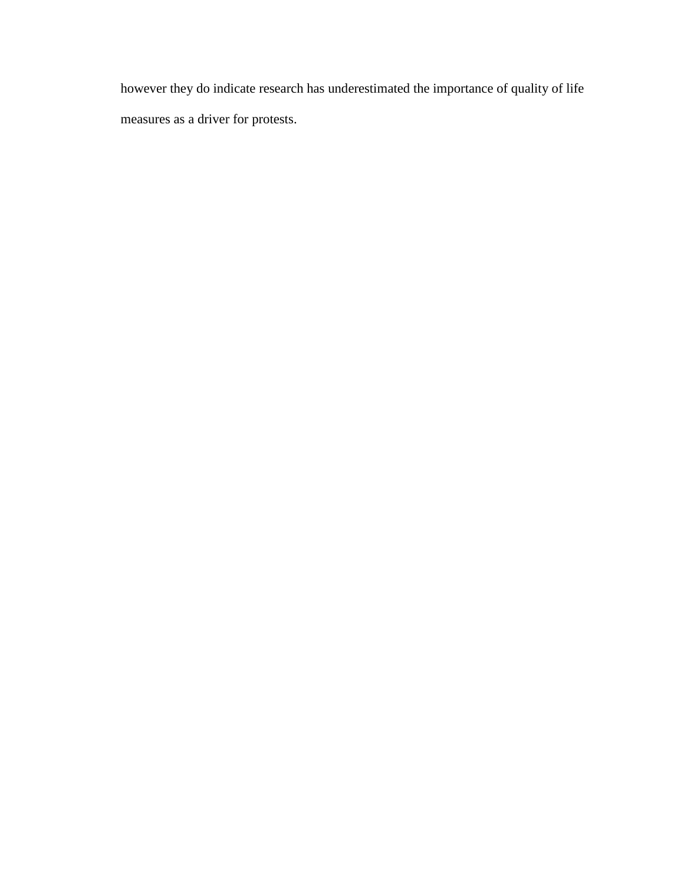however they do indicate research has underestimated the importance of quality of life measures as a driver for protests.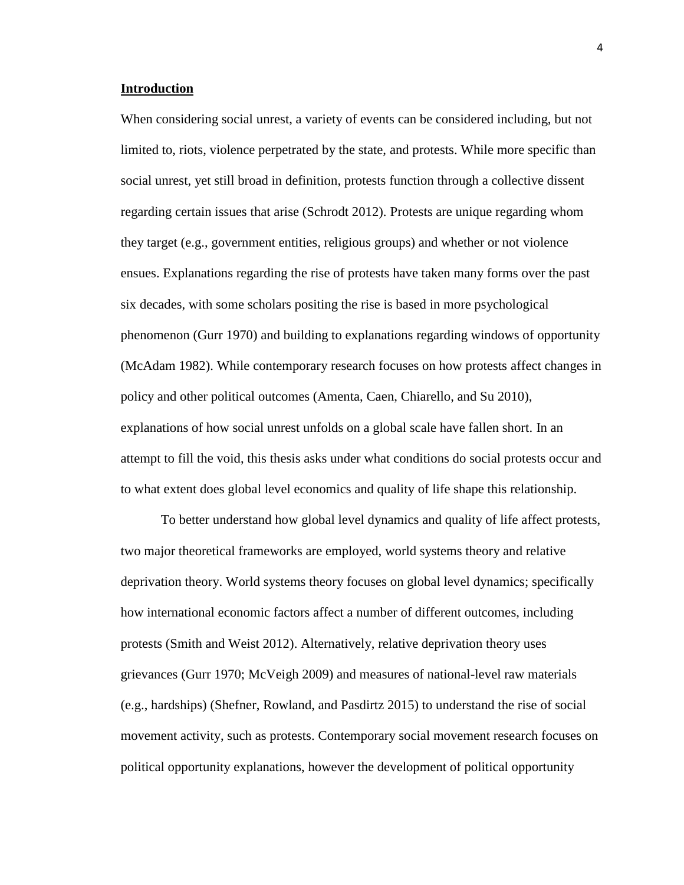#### **Introduction**

When considering social unrest, a variety of events can be considered including, but not limited to, riots, violence perpetrated by the state, and protests. While more specific than social unrest, yet still broad in definition, protests function through a collective dissent regarding certain issues that arise (Schrodt 2012). Protests are unique regarding whom they target (e.g., government entities, religious groups) and whether or not violence ensues. Explanations regarding the rise of protests have taken many forms over the past six decades, with some scholars positing the rise is based in more psychological phenomenon (Gurr 1970) and building to explanations regarding windows of opportunity (McAdam 1982). While contemporary research focuses on how protests affect changes in policy and other political outcomes (Amenta, Caen, Chiarello, and Su 2010), explanations of how social unrest unfolds on a global scale have fallen short. In an attempt to fill the void, this thesis asks under what conditions do social protests occur and to what extent does global level economics and quality of life shape this relationship.

To better understand how global level dynamics and quality of life affect protests, two major theoretical frameworks are employed, world systems theory and relative deprivation theory. World systems theory focuses on global level dynamics; specifically how international economic factors affect a number of different outcomes, including protests (Smith and Weist 2012). Alternatively, relative deprivation theory uses grievances (Gurr 1970; McVeigh 2009) and measures of national-level raw materials (e.g., hardships) (Shefner, Rowland, and Pasdirtz 2015) to understand the rise of social movement activity, such as protests. Contemporary social movement research focuses on political opportunity explanations, however the development of political opportunity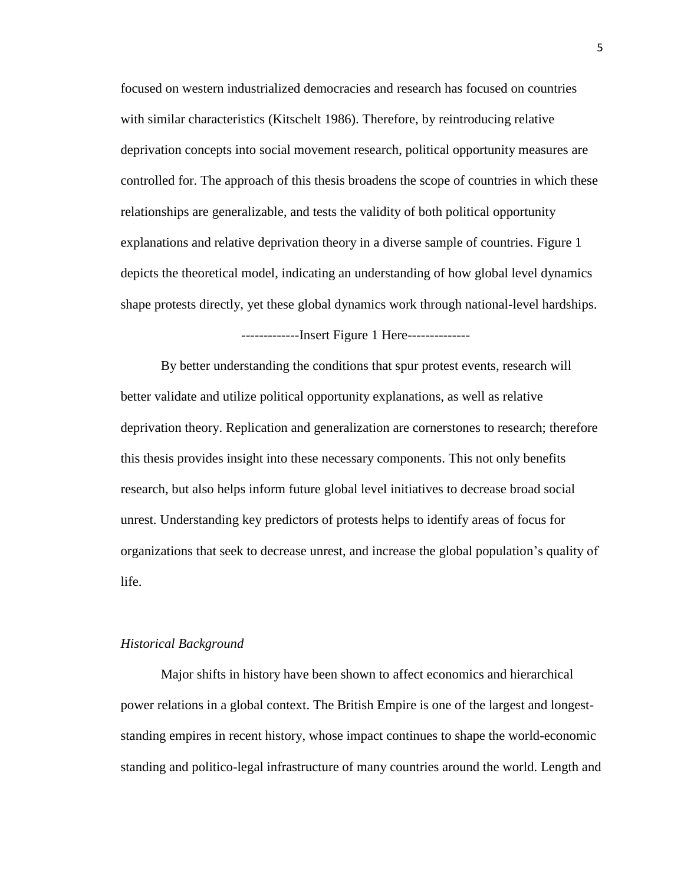focused on western industrialized democracies and research has focused on countries with similar characteristics (Kitschelt 1986). Therefore, by reintroducing relative deprivation concepts into social movement research, political opportunity measures are controlled for. The approach of this thesis broadens the scope of countries in which these relationships are generalizable, and tests the validity of both political opportunity explanations and relative deprivation theory in a diverse sample of countries. Figure 1 depicts the theoretical model, indicating an understanding of how global level dynamics shape protests directly, yet these global dynamics work through national-level hardships.

-------------Insert Figure 1 Here--------------

By better understanding the conditions that spur protest events, research will better validate and utilize political opportunity explanations, as well as relative deprivation theory. Replication and generalization are cornerstones to research; therefore this thesis provides insight into these necessary components. This not only benefits research, but also helps inform future global level initiatives to decrease broad social unrest. Understanding key predictors of protests helps to identify areas of focus for organizations that seek to decrease unrest, and increase the global population's quality of life.

#### *Historical Background*

Major shifts in history have been shown to affect economics and hierarchical power relations in a global context. The British Empire is one of the largest and longeststanding empires in recent history, whose impact continues to shape the world-economic standing and politico-legal infrastructure of many countries around the world. Length and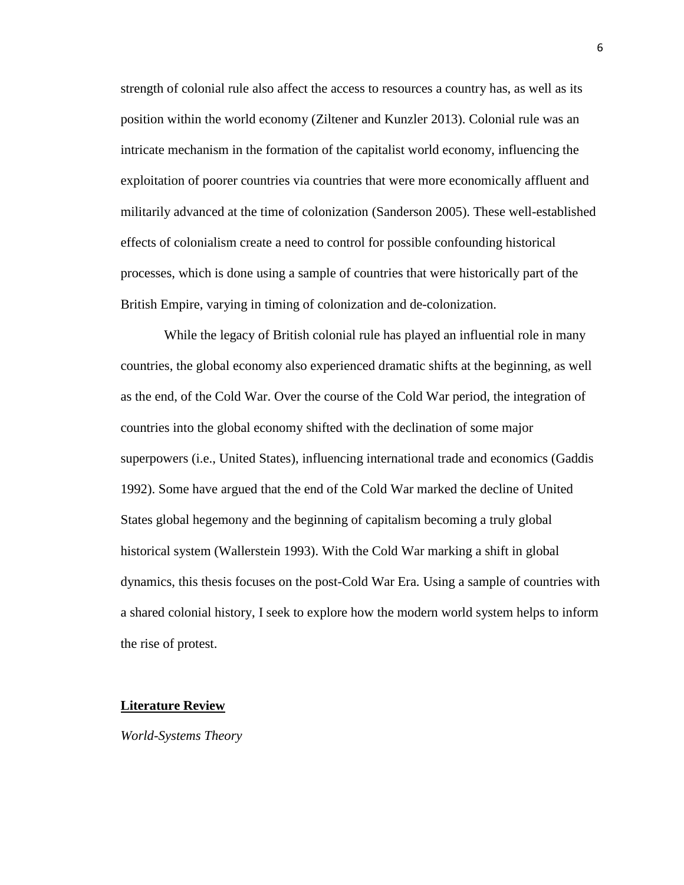strength of colonial rule also affect the access to resources a country has, as well as its position within the world economy (Ziltener and Kunzler 2013). Colonial rule was an intricate mechanism in the formation of the capitalist world economy, influencing the exploitation of poorer countries via countries that were more economically affluent and militarily advanced at the time of colonization (Sanderson 2005). These well-established effects of colonialism create a need to control for possible confounding historical processes, which is done using a sample of countries that were historically part of the British Empire, varying in timing of colonization and de-colonization.

While the legacy of British colonial rule has played an influential role in many countries, the global economy also experienced dramatic shifts at the beginning, as well as the end, of the Cold War. Over the course of the Cold War period, the integration of countries into the global economy shifted with the declination of some major superpowers (i.e., United States), influencing international trade and economics (Gaddis 1992). Some have argued that the end of the Cold War marked the decline of United States global hegemony and the beginning of capitalism becoming a truly global historical system (Wallerstein 1993). With the Cold War marking a shift in global dynamics, this thesis focuses on the post-Cold War Era. Using a sample of countries with a shared colonial history, I seek to explore how the modern world system helps to inform the rise of protest.

#### **Literature Review**

*World-Systems Theory*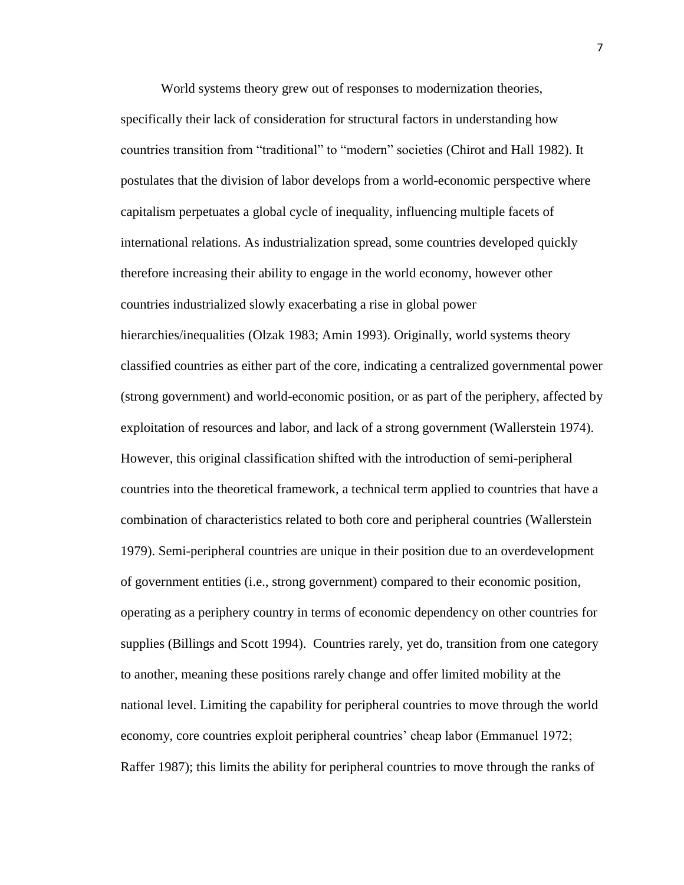World systems theory grew out of responses to modernization theories, specifically their lack of consideration for structural factors in understanding how countries transition from "traditional" to "modern" societies (Chirot and Hall 1982). It postulates that the division of labor develops from a world-economic perspective where capitalism perpetuates a global cycle of inequality, influencing multiple facets of international relations. As industrialization spread, some countries developed quickly therefore increasing their ability to engage in the world economy, however other countries industrialized slowly exacerbating a rise in global power hierarchies/inequalities (Olzak 1983; Amin 1993). Originally, world systems theory classified countries as either part of the core, indicating a centralized governmental power (strong government) and world-economic position, or as part of the periphery, affected by exploitation of resources and labor, and lack of a strong government (Wallerstein 1974). However, this original classification shifted with the introduction of semi-peripheral countries into the theoretical framework, a technical term applied to countries that have a combination of characteristics related to both core and peripheral countries (Wallerstein 1979). Semi-peripheral countries are unique in their position due to an overdevelopment of government entities (i.e., strong government) compared to their economic position, operating as a periphery country in terms of economic dependency on other countries for supplies (Billings and Scott 1994). Countries rarely, yet do, transition from one category to another, meaning these positions rarely change and offer limited mobility at the national level. Limiting the capability for peripheral countries to move through the world economy, core countries exploit peripheral countries' cheap labor (Emmanuel 1972; Raffer 1987); this limits the ability for peripheral countries to move through the ranks of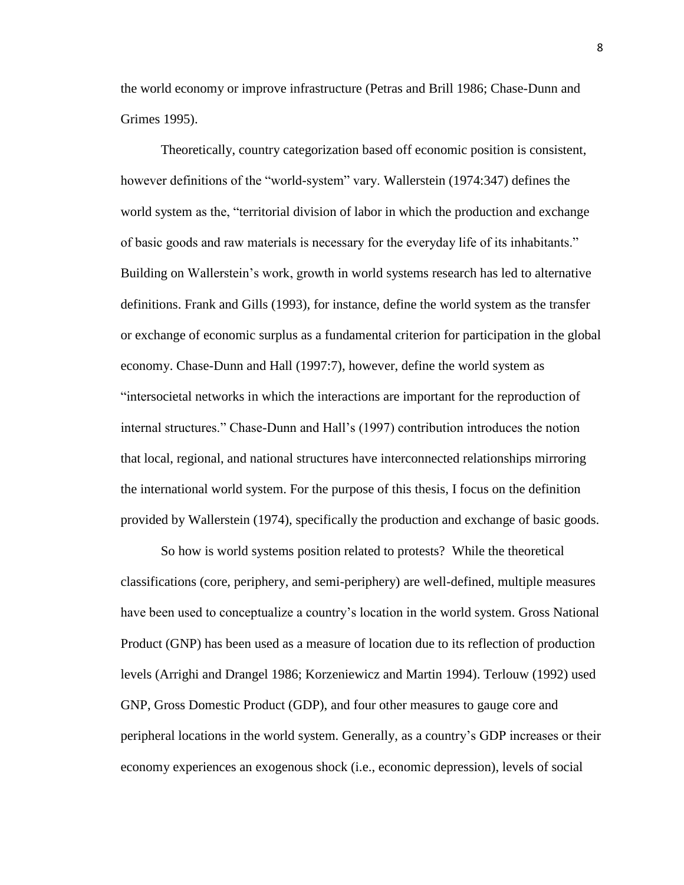the world economy or improve infrastructure (Petras and Brill 1986; Chase-Dunn and Grimes 1995).

Theoretically, country categorization based off economic position is consistent, however definitions of the "world-system" vary. Wallerstein (1974:347) defines the world system as the, "territorial division of labor in which the production and exchange of basic goods and raw materials is necessary for the everyday life of its inhabitants." Building on Wallerstein's work, growth in world systems research has led to alternative definitions. Frank and Gills (1993), for instance, define the world system as the transfer or exchange of economic surplus as a fundamental criterion for participation in the global economy. Chase-Dunn and Hall (1997:7), however, define the world system as "intersocietal networks in which the interactions are important for the reproduction of internal structures." Chase-Dunn and Hall's (1997) contribution introduces the notion that local, regional, and national structures have interconnected relationships mirroring the international world system. For the purpose of this thesis, I focus on the definition provided by Wallerstein (1974), specifically the production and exchange of basic goods.

So how is world systems position related to protests? While the theoretical classifications (core, periphery, and semi-periphery) are well-defined, multiple measures have been used to conceptualize a country's location in the world system. Gross National Product (GNP) has been used as a measure of location due to its reflection of production levels (Arrighi and Drangel 1986; Korzeniewicz and Martin 1994). Terlouw (1992) used GNP, Gross Domestic Product (GDP), and four other measures to gauge core and peripheral locations in the world system. Generally, as a country's GDP increases or their economy experiences an exogenous shock (i.e., economic depression), levels of social

8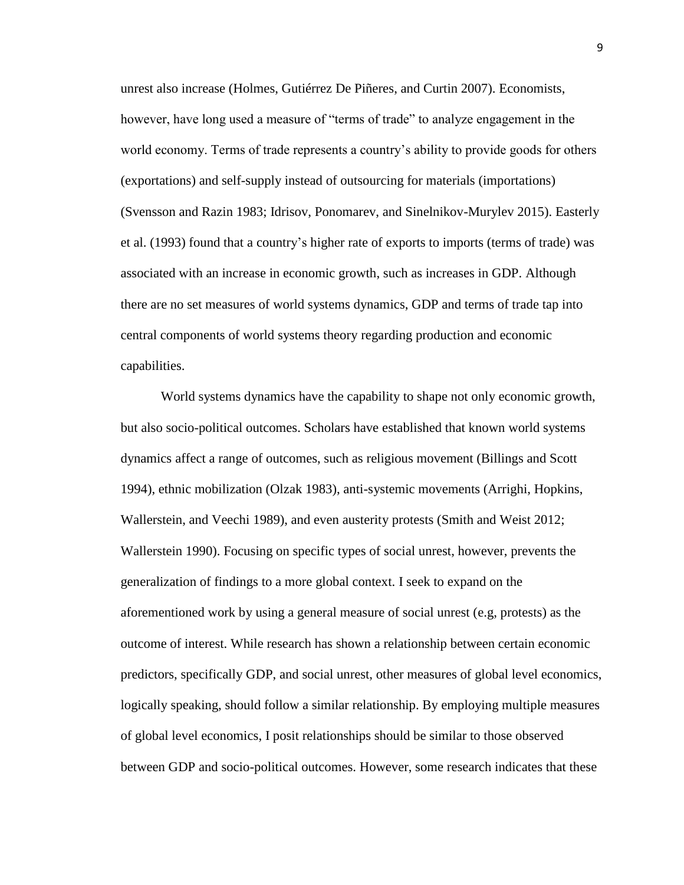unrest also increase (Holmes, Gutiérrez De Piñeres, and Curtin 2007). Economists, however, have long used a measure of "terms of trade" to analyze engagement in the world economy. Terms of trade represents a country's ability to provide goods for others (exportations) and self-supply instead of outsourcing for materials (importations) (Svensson and Razin 1983; Idrisov, Ponomarev, and Sinelnikov-Murylev 2015). Easterly et al. (1993) found that a country's higher rate of exports to imports (terms of trade) was associated with an increase in economic growth, such as increases in GDP. Although there are no set measures of world systems dynamics, GDP and terms of trade tap into central components of world systems theory regarding production and economic capabilities.

World systems dynamics have the capability to shape not only economic growth, but also socio-political outcomes. Scholars have established that known world systems dynamics affect a range of outcomes, such as religious movement (Billings and Scott 1994), ethnic mobilization (Olzak 1983), anti-systemic movements (Arrighi, Hopkins, Wallerstein, and Veechi 1989), and even austerity protests (Smith and Weist 2012; Wallerstein 1990). Focusing on specific types of social unrest, however, prevents the generalization of findings to a more global context. I seek to expand on the aforementioned work by using a general measure of social unrest (e.g, protests) as the outcome of interest. While research has shown a relationship between certain economic predictors, specifically GDP, and social unrest, other measures of global level economics, logically speaking, should follow a similar relationship. By employing multiple measures of global level economics, I posit relationships should be similar to those observed between GDP and socio-political outcomes. However, some research indicates that these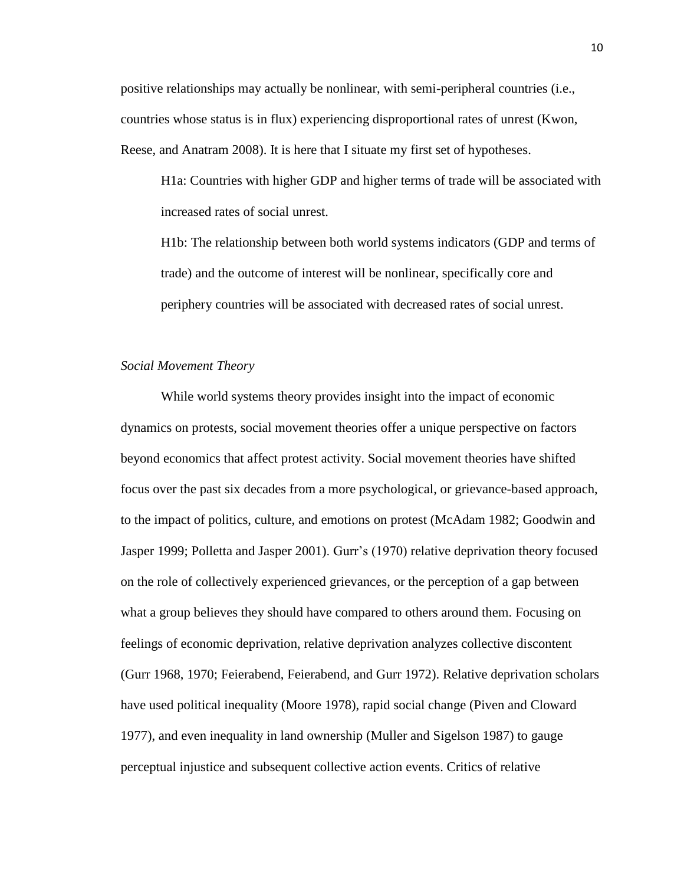positive relationships may actually be nonlinear, with semi-peripheral countries (i.e., countries whose status is in flux) experiencing disproportional rates of unrest (Kwon, Reese, and Anatram 2008). It is here that I situate my first set of hypotheses.

H1a: Countries with higher GDP and higher terms of trade will be associated with increased rates of social unrest.

H1b: The relationship between both world systems indicators (GDP and terms of trade) and the outcome of interest will be nonlinear, specifically core and periphery countries will be associated with decreased rates of social unrest.

#### *Social Movement Theory*

While world systems theory provides insight into the impact of economic dynamics on protests, social movement theories offer a unique perspective on factors beyond economics that affect protest activity. Social movement theories have shifted focus over the past six decades from a more psychological, or grievance-based approach, to the impact of politics, culture, and emotions on protest (McAdam 1982; Goodwin and Jasper 1999; Polletta and Jasper 2001). Gurr's (1970) relative deprivation theory focused on the role of collectively experienced grievances, or the perception of a gap between what a group believes they should have compared to others around them. Focusing on feelings of economic deprivation, relative deprivation analyzes collective discontent (Gurr 1968, 1970; Feierabend, Feierabend, and Gurr 1972). Relative deprivation scholars have used political inequality (Moore 1978), rapid social change (Piven and Cloward 1977), and even inequality in land ownership (Muller and Sigelson 1987) to gauge perceptual injustice and subsequent collective action events. Critics of relative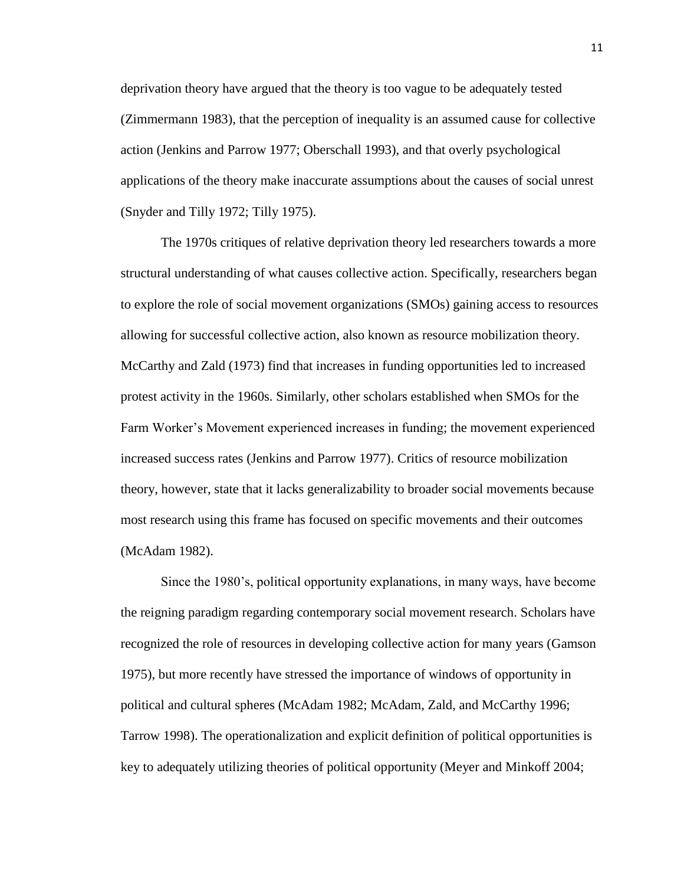deprivation theory have argued that the theory is too vague to be adequately tested (Zimmermann 1983), that the perception of inequality is an assumed cause for collective action (Jenkins and Parrow 1977; Oberschall 1993), and that overly psychological applications of the theory make inaccurate assumptions about the causes of social unrest (Snyder and Tilly 1972; Tilly 1975).

The 1970s critiques of relative deprivation theory led researchers towards a more structural understanding of what causes collective action. Specifically, researchers began to explore the role of social movement organizations (SMOs) gaining access to resources allowing for successful collective action, also known as resource mobilization theory. McCarthy and Zald (1973) find that increases in funding opportunities led to increased protest activity in the 1960s. Similarly, other scholars established when SMOs for the Farm Worker's Movement experienced increases in funding; the movement experienced increased success rates (Jenkins and Parrow 1977). Critics of resource mobilization theory, however, state that it lacks generalizability to broader social movements because most research using this frame has focused on specific movements and their outcomes (McAdam 1982).

Since the 1980's, political opportunity explanations, in many ways, have become the reigning paradigm regarding contemporary social movement research. Scholars have recognized the role of resources in developing collective action for many years (Gamson 1975), but more recently have stressed the importance of windows of opportunity in political and cultural spheres (McAdam 1982; McAdam, Zald, and McCarthy 1996; Tarrow 1998). The operationalization and explicit definition of political opportunities is key to adequately utilizing theories of political opportunity (Meyer and Minkoff 2004;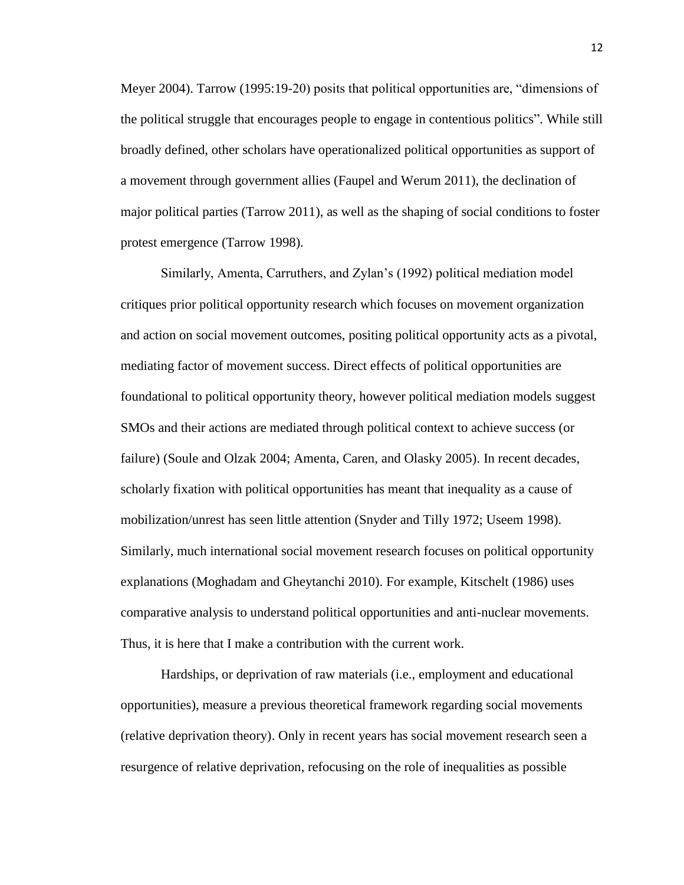Meyer 2004). Tarrow (1995:19-20) posits that political opportunities are, "dimensions of the political struggle that encourages people to engage in contentious politics". While still broadly defined, other scholars have operationalized political opportunities as support of a movement through government allies (Faupel and Werum 2011), the declination of major political parties (Tarrow 2011), as well as the shaping of social conditions to foster protest emergence (Tarrow 1998).

Similarly, Amenta, Carruthers, and Zylan's (1992) political mediation model critiques prior political opportunity research which focuses on movement organization and action on social movement outcomes, positing political opportunity acts as a pivotal, mediating factor of movement success. Direct effects of political opportunities are foundational to political opportunity theory, however political mediation models suggest SMOs and their actions are mediated through political context to achieve success (or failure) (Soule and Olzak 2004; Amenta, Caren, and Olasky 2005). In recent decades, scholarly fixation with political opportunities has meant that inequality as a cause of mobilization/unrest has seen little attention (Snyder and Tilly 1972; Useem 1998). Similarly, much international social movement research focuses on political opportunity explanations (Moghadam and Gheytanchi 2010). For example, Kitschelt (1986) uses comparative analysis to understand political opportunities and anti-nuclear movements. Thus, it is here that I make a contribution with the current work.

Hardships, or deprivation of raw materials (i.e., employment and educational opportunities), measure a previous theoretical framework regarding social movements (relative deprivation theory). Only in recent years has social movement research seen a resurgence of relative deprivation, refocusing on the role of inequalities as possible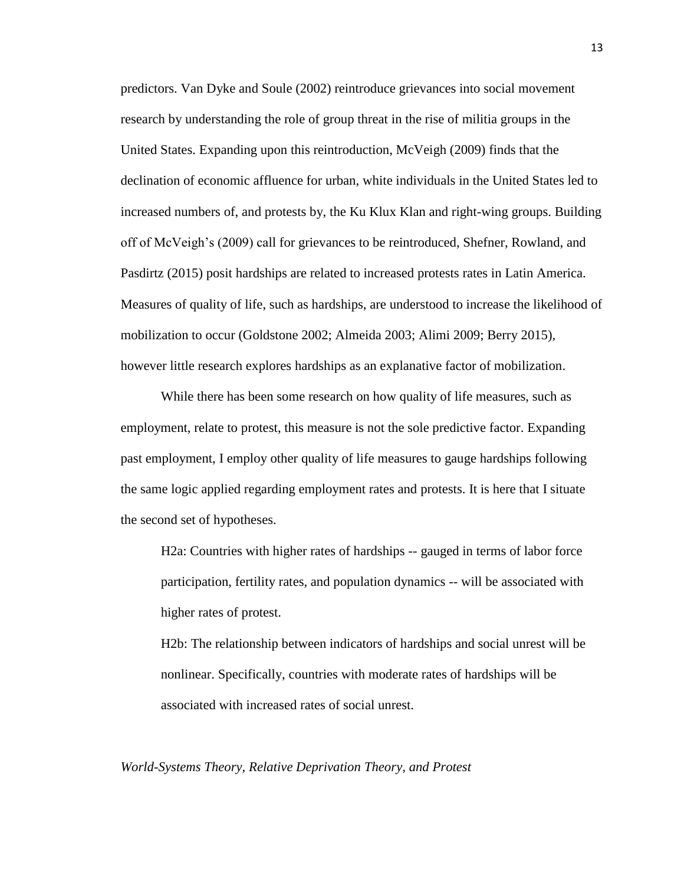predictors. Van Dyke and Soule (2002) reintroduce grievances into social movement research by understanding the role of group threat in the rise of militia groups in the United States. Expanding upon this reintroduction, McVeigh (2009) finds that the declination of economic affluence for urban, white individuals in the United States led to increased numbers of, and protests by, the Ku Klux Klan and right-wing groups. Building off of McVeigh's (2009) call for grievances to be reintroduced, Shefner, Rowland, and Pasdirtz (2015) posit hardships are related to increased protests rates in Latin America. Measures of quality of life, such as hardships, are understood to increase the likelihood of mobilization to occur (Goldstone 2002; Almeida 2003; Alimi 2009; Berry 2015), however little research explores hardships as an explanative factor of mobilization.

While there has been some research on how quality of life measures, such as employment, relate to protest, this measure is not the sole predictive factor. Expanding past employment, I employ other quality of life measures to gauge hardships following the same logic applied regarding employment rates and protests. It is here that I situate the second set of hypotheses.

H2a: Countries with higher rates of hardships -- gauged in terms of labor force participation, fertility rates, and population dynamics -- will be associated with higher rates of protest.

H2b: The relationship between indicators of hardships and social unrest will be nonlinear. Specifically, countries with moderate rates of hardships will be associated with increased rates of social unrest.

*World-Systems Theory, Relative Deprivation Theory, and Protest*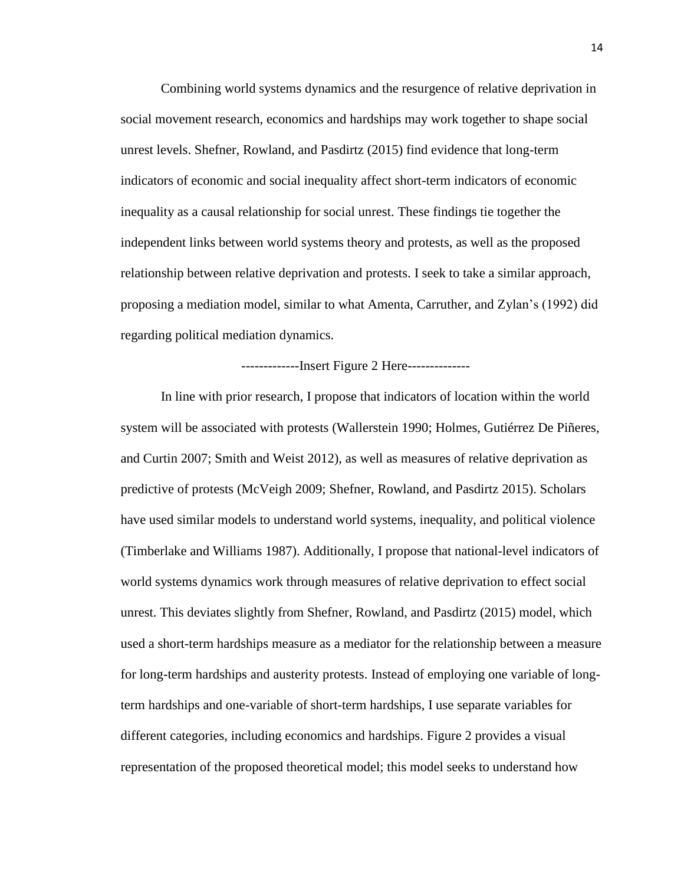Combining world systems dynamics and the resurgence of relative deprivation in social movement research, economics and hardships may work together to shape social unrest levels. Shefner, Rowland, and Pasdirtz (2015) find evidence that long-term indicators of economic and social inequality affect short-term indicators of economic inequality as a causal relationship for social unrest. These findings tie together the independent links between world systems theory and protests, as well as the proposed relationship between relative deprivation and protests. I seek to take a similar approach, proposing a mediation model, similar to what Amenta, Carruther, and Zylan's (1992) did regarding political mediation dynamics.

-------------Insert Figure 2 Here--------------

In line with prior research, I propose that indicators of location within the world system will be associated with protests (Wallerstein 1990; Holmes, Gutiérrez De Piñeres, and Curtin 2007; Smith and Weist 2012), as well as measures of relative deprivation as predictive of protests (McVeigh 2009; Shefner, Rowland, and Pasdirtz 2015). Scholars have used similar models to understand world systems, inequality, and political violence (Timberlake and Williams 1987). Additionally, I propose that national-level indicators of world systems dynamics work through measures of relative deprivation to effect social unrest. This deviates slightly from Shefner, Rowland, and Pasdirtz (2015) model, which used a short-term hardships measure as a mediator for the relationship between a measure for long-term hardships and austerity protests. Instead of employing one variable of longterm hardships and one-variable of short-term hardships, I use separate variables for different categories, including economics and hardships. Figure 2 provides a visual representation of the proposed theoretical model; this model seeks to understand how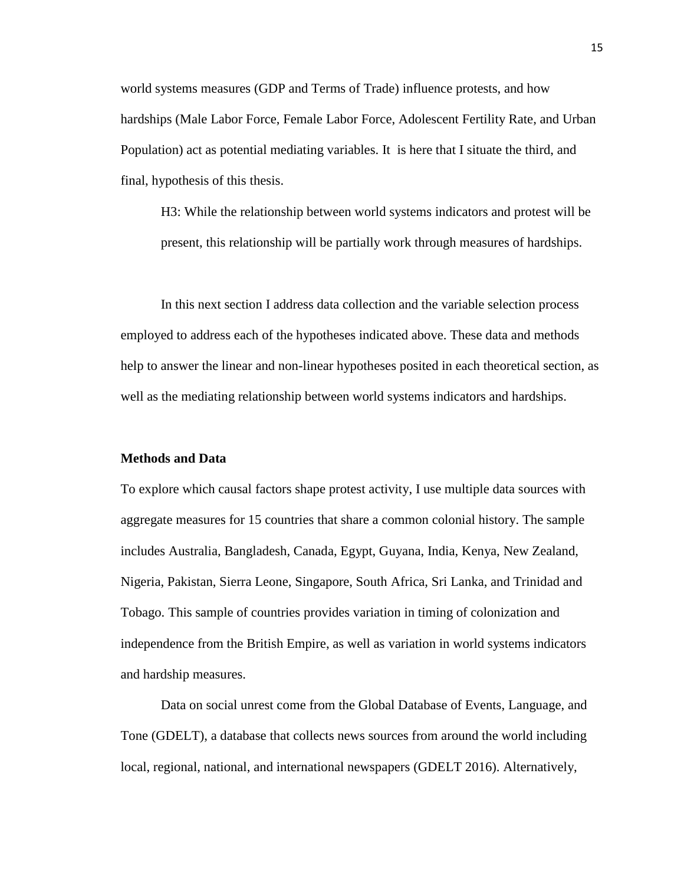world systems measures (GDP and Terms of Trade) influence protests, and how hardships (Male Labor Force, Female Labor Force, Adolescent Fertility Rate, and Urban Population) act as potential mediating variables. It is here that I situate the third, and final, hypothesis of this thesis.

H3: While the relationship between world systems indicators and protest will be present, this relationship will be partially work through measures of hardships.

In this next section I address data collection and the variable selection process employed to address each of the hypotheses indicated above. These data and methods help to answer the linear and non-linear hypotheses posited in each theoretical section, as well as the mediating relationship between world systems indicators and hardships.

#### **Methods and Data**

To explore which causal factors shape protest activity, I use multiple data sources with aggregate measures for 15 countries that share a common colonial history. The sample includes Australia, Bangladesh, Canada, Egypt, Guyana, India, Kenya, New Zealand, Nigeria, Pakistan, Sierra Leone, Singapore, South Africa, Sri Lanka, and Trinidad and Tobago. This sample of countries provides variation in timing of colonization and independence from the British Empire, as well as variation in world systems indicators and hardship measures.

Data on social unrest come from the Global Database of Events, Language, and Tone (GDELT), a database that collects news sources from around the world including local, regional, national, and international newspapers (GDELT 2016). Alternatively,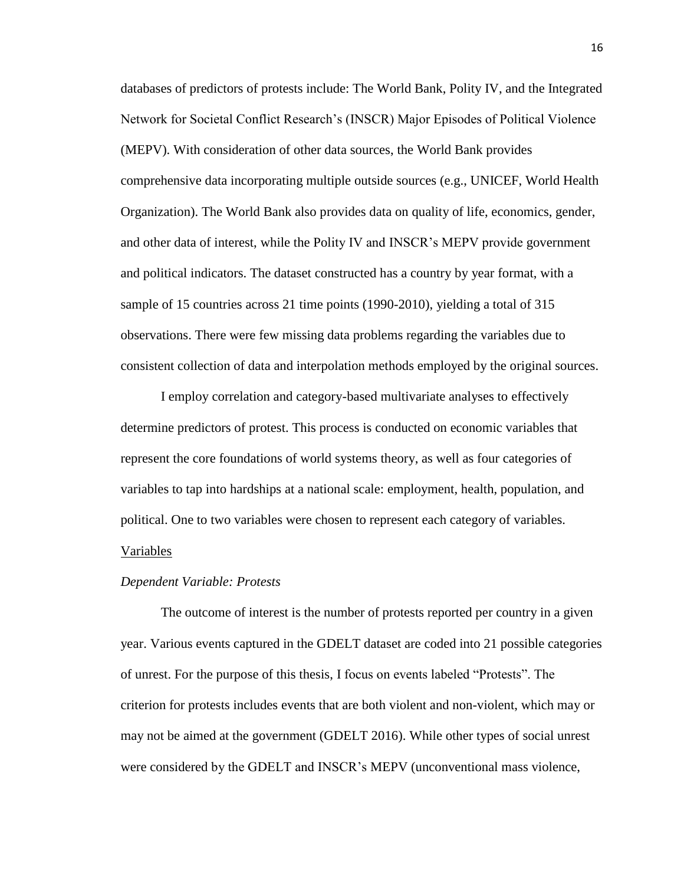databases of predictors of protests include: The World Bank, Polity IV, and the Integrated Network for Societal Conflict Research's (INSCR) Major Episodes of Political Violence (MEPV). With consideration of other data sources, the World Bank provides comprehensive data incorporating multiple outside sources (e.g., UNICEF, World Health Organization). The World Bank also provides data on quality of life, economics, gender, and other data of interest, while the Polity IV and INSCR's MEPV provide government and political indicators. The dataset constructed has a country by year format, with a sample of 15 countries across 21 time points (1990-2010), yielding a total of 315 observations. There were few missing data problems regarding the variables due to consistent collection of data and interpolation methods employed by the original sources.

I employ correlation and category-based multivariate analyses to effectively determine predictors of protest. This process is conducted on economic variables that represent the core foundations of world systems theory, as well as four categories of variables to tap into hardships at a national scale: employment, health, population, and political. One to two variables were chosen to represent each category of variables. Variables

#### *Dependent Variable: Protests*

The outcome of interest is the number of protests reported per country in a given year. Various events captured in the GDELT dataset are coded into 21 possible categories of unrest. For the purpose of this thesis, I focus on events labeled "Protests". The criterion for protests includes events that are both violent and non-violent, which may or may not be aimed at the government (GDELT 2016). While other types of social unrest were considered by the GDELT and INSCR's MEPV (unconventional mass violence,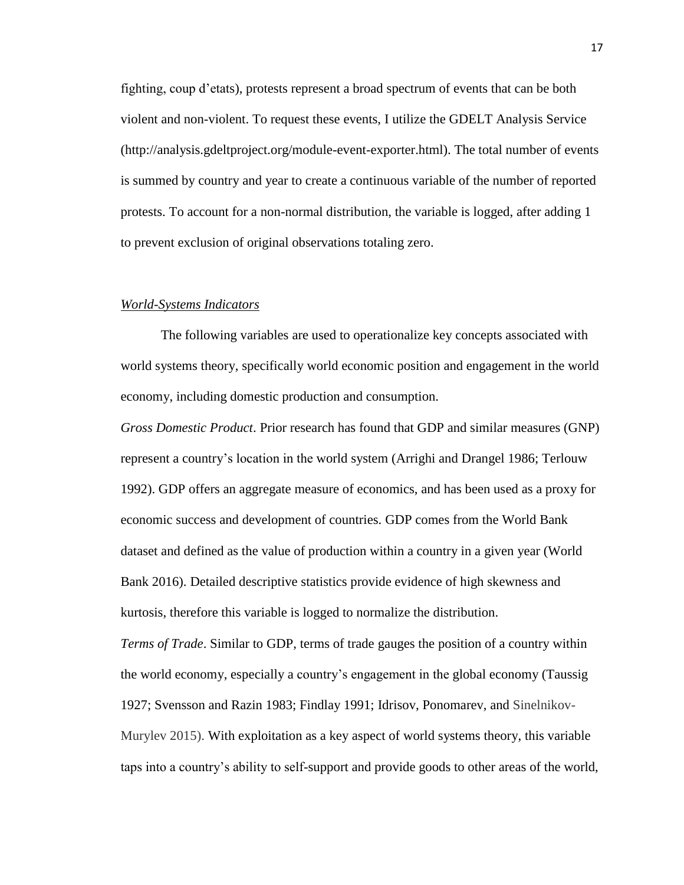fighting, coup d'etats), protests represent a broad spectrum of events that can be both violent and non-violent. To request these events, I utilize the GDELT Analysis Service (http://analysis.gdeltproject.org/module-event-exporter.html). The total number of events is summed by country and year to create a continuous variable of the number of reported protests. To account for a non-normal distribution, the variable is logged, after adding 1 to prevent exclusion of original observations totaling zero.

#### *World-Systems Indicators*

The following variables are used to operationalize key concepts associated with world systems theory, specifically world economic position and engagement in the world economy, including domestic production and consumption.

*Gross Domestic Product*. Prior research has found that GDP and similar measures (GNP) represent a country's location in the world system (Arrighi and Drangel 1986; Terlouw 1992). GDP offers an aggregate measure of economics, and has been used as a proxy for economic success and development of countries. GDP comes from the World Bank dataset and defined as the value of production within a country in a given year (World Bank 2016). Detailed descriptive statistics provide evidence of high skewness and kurtosis, therefore this variable is logged to normalize the distribution.

*Terms of Trade*. Similar to GDP, terms of trade gauges the position of a country within the world economy, especially a country's engagement in the global economy (Taussig 1927; Svensson and Razin 1983; Findlay 1991; Idrisov, Ponomarev, and Sinelnikov-Murylev 2015). With exploitation as a key aspect of world systems theory, this variable taps into a country's ability to self-support and provide goods to other areas of the world,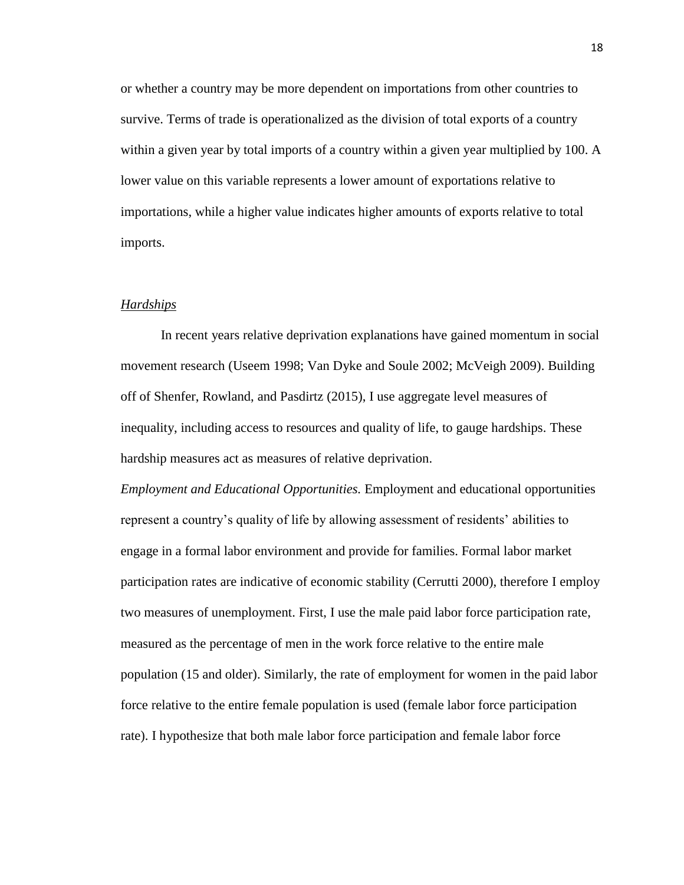or whether a country may be more dependent on importations from other countries to survive. Terms of trade is operationalized as the division of total exports of a country within a given year by total imports of a country within a given year multiplied by 100. A lower value on this variable represents a lower amount of exportations relative to importations, while a higher value indicates higher amounts of exports relative to total imports.

#### *Hardships*

In recent years relative deprivation explanations have gained momentum in social movement research (Useem 1998; Van Dyke and Soule 2002; McVeigh 2009). Building off of Shenfer, Rowland, and Pasdirtz (2015), I use aggregate level measures of inequality, including access to resources and quality of life, to gauge hardships. These hardship measures act as measures of relative deprivation.

*Employment and Educational Opportunities.* Employment and educational opportunities represent a country's quality of life by allowing assessment of residents' abilities to engage in a formal labor environment and provide for families. Formal labor market participation rates are indicative of economic stability (Cerrutti 2000), therefore I employ two measures of unemployment. First, I use the male paid labor force participation rate, measured as the percentage of men in the work force relative to the entire male population (15 and older). Similarly, the rate of employment for women in the paid labor force relative to the entire female population is used (female labor force participation rate). I hypothesize that both male labor force participation and female labor force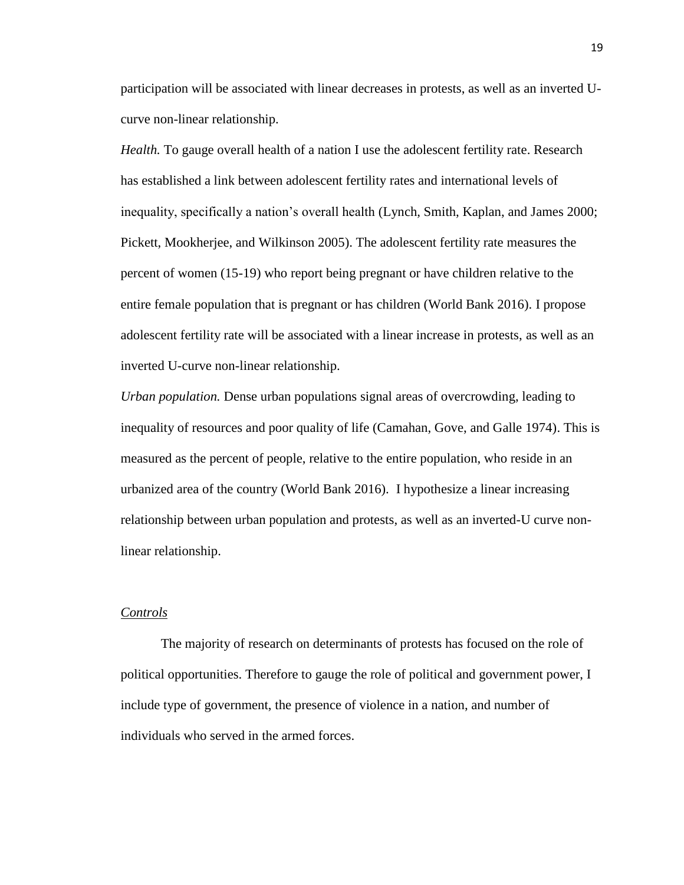participation will be associated with linear decreases in protests, as well as an inverted Ucurve non-linear relationship.

*Health.* To gauge overall health of a nation I use the adolescent fertility rate. Research has established a link between adolescent fertility rates and international levels of inequality, specifically a nation's overall health (Lynch, Smith, Kaplan, and James 2000; Pickett, Mookherjee, and Wilkinson 2005). The adolescent fertility rate measures the percent of women (15-19) who report being pregnant or have children relative to the entire female population that is pregnant or has children (World Bank 2016). I propose adolescent fertility rate will be associated with a linear increase in protests, as well as an inverted U-curve non-linear relationship.

*Urban population.* Dense urban populations signal areas of overcrowding, leading to inequality of resources and poor quality of life (Camahan, Gove, and Galle 1974). This is measured as the percent of people, relative to the entire population, who reside in an urbanized area of the country (World Bank 2016). I hypothesize a linear increasing relationship between urban population and protests, as well as an inverted-U curve nonlinear relationship.

#### *Controls*

The majority of research on determinants of protests has focused on the role of political opportunities. Therefore to gauge the role of political and government power, I include type of government, the presence of violence in a nation, and number of individuals who served in the armed forces.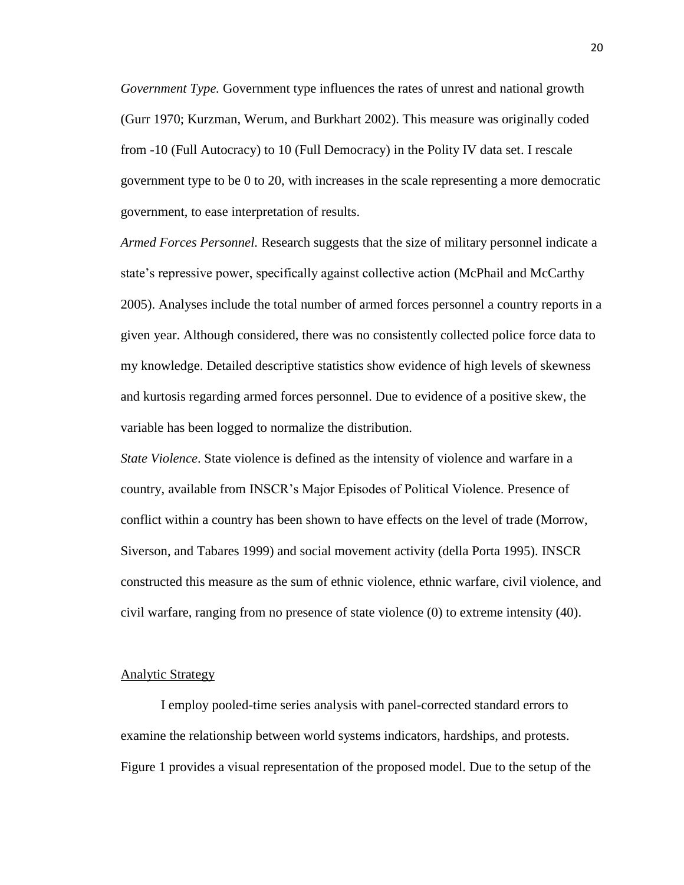*Government Type.* Government type influences the rates of unrest and national growth (Gurr 1970; Kurzman, Werum, and Burkhart 2002). This measure was originally coded from -10 (Full Autocracy) to 10 (Full Democracy) in the Polity IV data set. I rescale government type to be 0 to 20, with increases in the scale representing a more democratic government, to ease interpretation of results.

*Armed Forces Personnel.* Research suggests that the size of military personnel indicate a state's repressive power, specifically against collective action (McPhail and McCarthy 2005). Analyses include the total number of armed forces personnel a country reports in a given year. Although considered, there was no consistently collected police force data to my knowledge. Detailed descriptive statistics show evidence of high levels of skewness and kurtosis regarding armed forces personnel. Due to evidence of a positive skew, the variable has been logged to normalize the distribution.

*State Violence*. State violence is defined as the intensity of violence and warfare in a country, available from INSCR's Major Episodes of Political Violence. Presence of conflict within a country has been shown to have effects on the level of trade (Morrow, Siverson, and Tabares 1999) and social movement activity (della Porta 1995). INSCR constructed this measure as the sum of ethnic violence, ethnic warfare, civil violence, and civil warfare, ranging from no presence of state violence (0) to extreme intensity (40).

#### Analytic Strategy

I employ pooled-time series analysis with panel-corrected standard errors to examine the relationship between world systems indicators, hardships, and protests. Figure 1 provides a visual representation of the proposed model. Due to the setup of the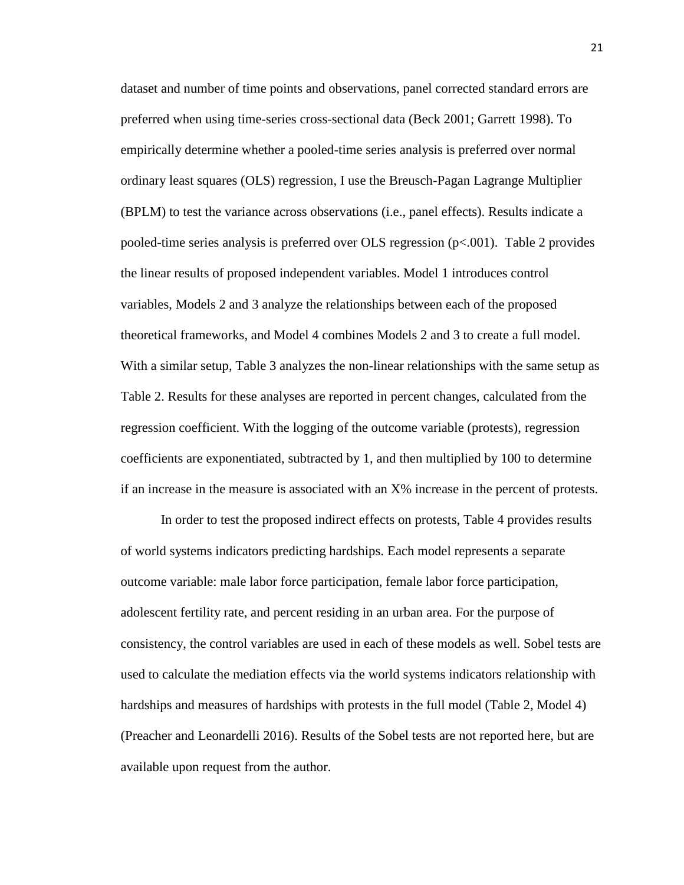dataset and number of time points and observations, panel corrected standard errors are preferred when using time-series cross-sectional data (Beck 2001; Garrett 1998). To empirically determine whether a pooled-time series analysis is preferred over normal ordinary least squares (OLS) regression, I use the Breusch-Pagan Lagrange Multiplier (BPLM) to test the variance across observations (i.e., panel effects). Results indicate a pooled-time series analysis is preferred over OLS regression (p<.001). Table 2 provides the linear results of proposed independent variables. Model 1 introduces control variables, Models 2 and 3 analyze the relationships between each of the proposed theoretical frameworks, and Model 4 combines Models 2 and 3 to create a full model. With a similar setup, Table 3 analyzes the non-linear relationships with the same setup as Table 2. Results for these analyses are reported in percent changes, calculated from the regression coefficient. With the logging of the outcome variable (protests), regression coefficients are exponentiated, subtracted by 1, and then multiplied by 100 to determine if an increase in the measure is associated with an X% increase in the percent of protests.

In order to test the proposed indirect effects on protests, Table 4 provides results of world systems indicators predicting hardships. Each model represents a separate outcome variable: male labor force participation, female labor force participation, adolescent fertility rate, and percent residing in an urban area. For the purpose of consistency, the control variables are used in each of these models as well. Sobel tests are used to calculate the mediation effects via the world systems indicators relationship with hardships and measures of hardships with protests in the full model (Table 2, Model 4) (Preacher and Leonardelli 2016). Results of the Sobel tests are not reported here, but are available upon request from the author.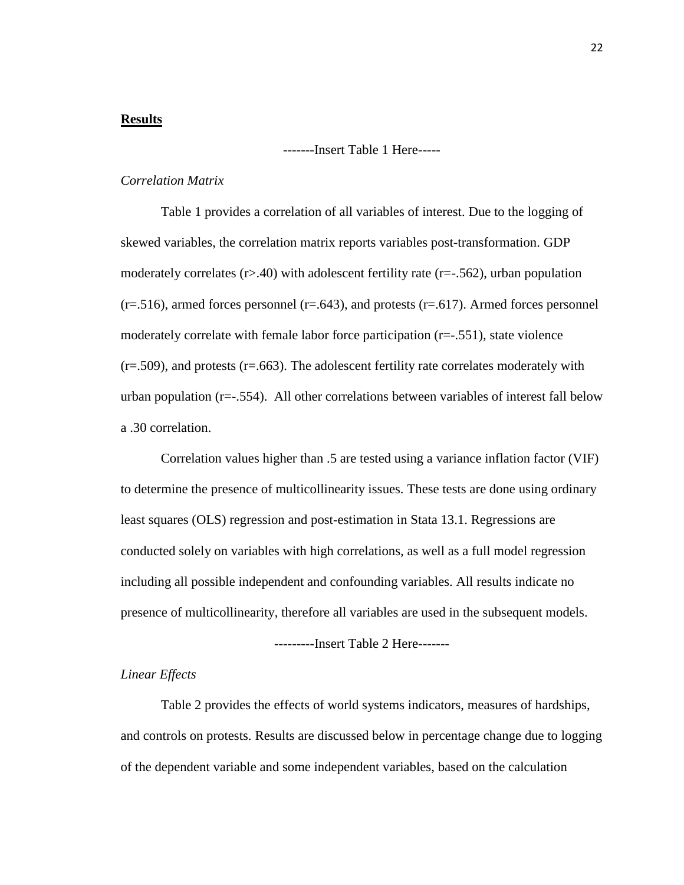#### **Results**

-------Insert Table 1 Here-----

#### *Correlation Matrix*

Table 1 provides a correlation of all variables of interest. Due to the logging of skewed variables, the correlation matrix reports variables post-transformation. GDP moderately correlates  $(r>40)$  with adolescent fertility rate  $(r=-.562)$ , urban population  $(r=0.516)$ , armed forces personnel  $(r=0.643)$ , and protests  $(r=0.617)$ . Armed forces personnel moderately correlate with female labor force participation  $(r=-.551)$ , state violence  $(r=0.509)$ , and protests  $(r=0.663)$ . The adolescent fertility rate correlates moderately with urban population (r=-.554). All other correlations between variables of interest fall below a .30 correlation.

Correlation values higher than .5 are tested using a variance inflation factor (VIF) to determine the presence of multicollinearity issues. These tests are done using ordinary least squares (OLS) regression and post-estimation in Stata 13.1. Regressions are conducted solely on variables with high correlations, as well as a full model regression including all possible independent and confounding variables. All results indicate no presence of multicollinearity, therefore all variables are used in the subsequent models.

---------Insert Table 2 Here-------

#### *Linear Effects*

Table 2 provides the effects of world systems indicators, measures of hardships, and controls on protests. Results are discussed below in percentage change due to logging of the dependent variable and some independent variables, based on the calculation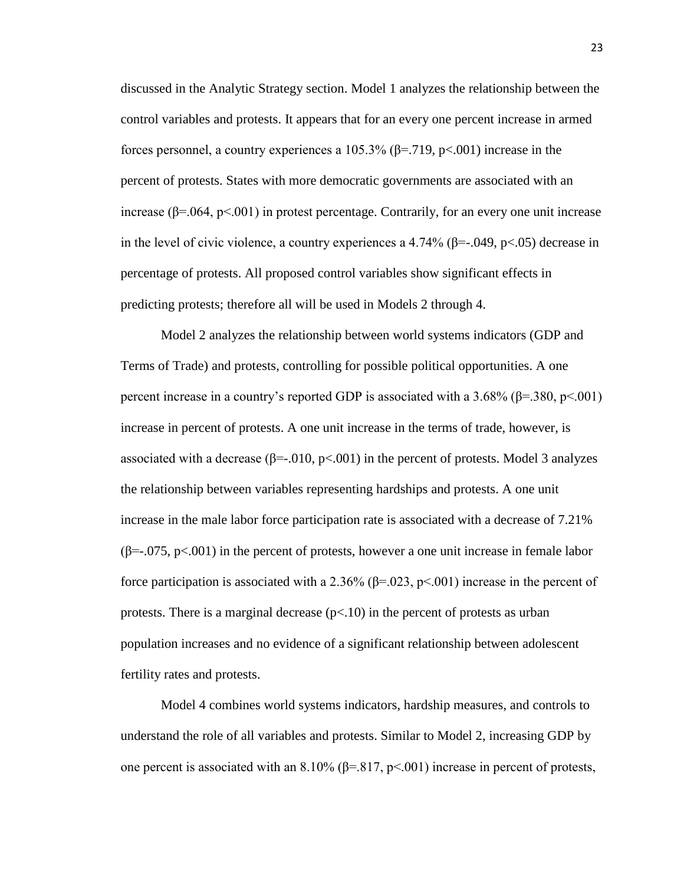discussed in the Analytic Strategy section. Model 1 analyzes the relationship between the control variables and protests. It appears that for an every one percent increase in armed forces personnel, a country experiences a 105.3% ( $\beta$ =.719, p<.001) increase in the percent of protests. States with more democratic governments are associated with an increase  $(\beta = 0.064, \text{ p} < 0.001)$  in protest percentage. Contrarily, for an every one unit increase in the level of civic violence, a country experiences a 4.74% ( $\beta$ =-.049, p<.05) decrease in percentage of protests. All proposed control variables show significant effects in predicting protests; therefore all will be used in Models 2 through 4.

Model 2 analyzes the relationship between world systems indicators (GDP and Terms of Trade) and protests, controlling for possible political opportunities. A one percent increase in a country's reported GDP is associated with a 3.68% ( $\beta$ =.380, p<.001) increase in percent of protests. A one unit increase in the terms of trade, however, is associated with a decrease ( $\beta$ =-.010, p<.001) in the percent of protests. Model 3 analyzes the relationship between variables representing hardships and protests. A one unit increase in the male labor force participation rate is associated with a decrease of 7.21%  $(\beta=-.075, p<.001)$  in the percent of protests, however a one unit increase in female labor force participation is associated with a 2.36% ( $\beta$ =.023, p<.001) increase in the percent of protests. There is a marginal decrease  $(p<10)$  in the percent of protests as urban population increases and no evidence of a significant relationship between adolescent fertility rates and protests.

Model 4 combines world systems indicators, hardship measures, and controls to understand the role of all variables and protests. Similar to Model 2, increasing GDP by one percent is associated with an 8.10% ( $\beta$ =.817, p<.001) increase in percent of protests,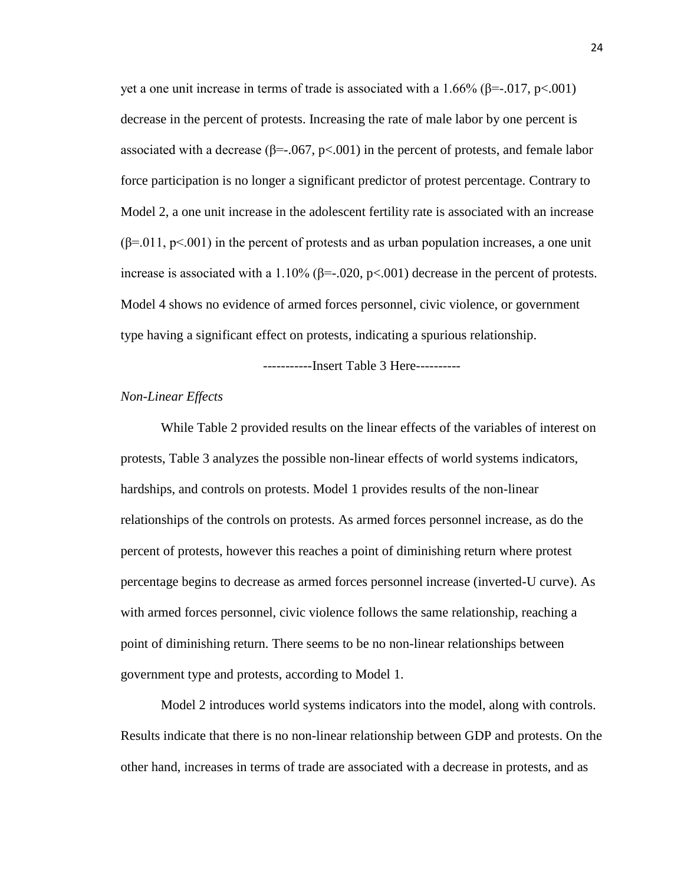yet a one unit increase in terms of trade is associated with a 1.66% ( $\beta$ =-.017, p<.001) decrease in the percent of protests. Increasing the rate of male labor by one percent is associated with a decrease ( $\beta$ =-.067, p<.001) in the percent of protests, and female labor force participation is no longer a significant predictor of protest percentage. Contrary to Model 2, a one unit increase in the adolescent fertility rate is associated with an increase  $(\beta=0.011, p<0.001)$  in the percent of protests and as urban population increases, a one unit increase is associated with a 1.10%  $(\beta = .020, p < .001)$  decrease in the percent of protests. Model 4 shows no evidence of armed forces personnel, civic violence, or government type having a significant effect on protests, indicating a spurious relationship.

-----------Insert Table 3 Here----------

#### *Non-Linear Effects*

While Table 2 provided results on the linear effects of the variables of interest on protests, Table 3 analyzes the possible non-linear effects of world systems indicators, hardships, and controls on protests. Model 1 provides results of the non-linear relationships of the controls on protests. As armed forces personnel increase, as do the percent of protests, however this reaches a point of diminishing return where protest percentage begins to decrease as armed forces personnel increase (inverted-U curve). As with armed forces personnel, civic violence follows the same relationship, reaching a point of diminishing return. There seems to be no non-linear relationships between government type and protests, according to Model 1.

Model 2 introduces world systems indicators into the model, along with controls. Results indicate that there is no non-linear relationship between GDP and protests. On the other hand, increases in terms of trade are associated with a decrease in protests, and as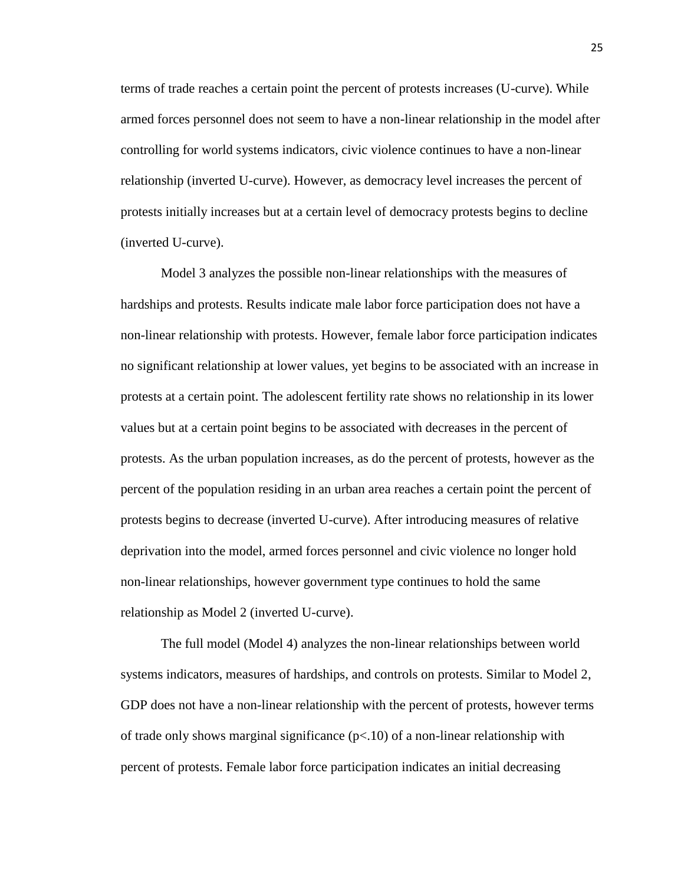terms of trade reaches a certain point the percent of protests increases (U-curve). While armed forces personnel does not seem to have a non-linear relationship in the model after controlling for world systems indicators, civic violence continues to have a non-linear relationship (inverted U-curve). However, as democracy level increases the percent of protests initially increases but at a certain level of democracy protests begins to decline (inverted U-curve).

Model 3 analyzes the possible non-linear relationships with the measures of hardships and protests. Results indicate male labor force participation does not have a non-linear relationship with protests. However, female labor force participation indicates no significant relationship at lower values, yet begins to be associated with an increase in protests at a certain point. The adolescent fertility rate shows no relationship in its lower values but at a certain point begins to be associated with decreases in the percent of protests. As the urban population increases, as do the percent of protests, however as the percent of the population residing in an urban area reaches a certain point the percent of protests begins to decrease (inverted U-curve). After introducing measures of relative deprivation into the model, armed forces personnel and civic violence no longer hold non-linear relationships, however government type continues to hold the same relationship as Model 2 (inverted U-curve).

The full model (Model 4) analyzes the non-linear relationships between world systems indicators, measures of hardships, and controls on protests. Similar to Model 2, GDP does not have a non-linear relationship with the percent of protests, however terms of trade only shows marginal significance  $(p<10)$  of a non-linear relationship with percent of protests. Female labor force participation indicates an initial decreasing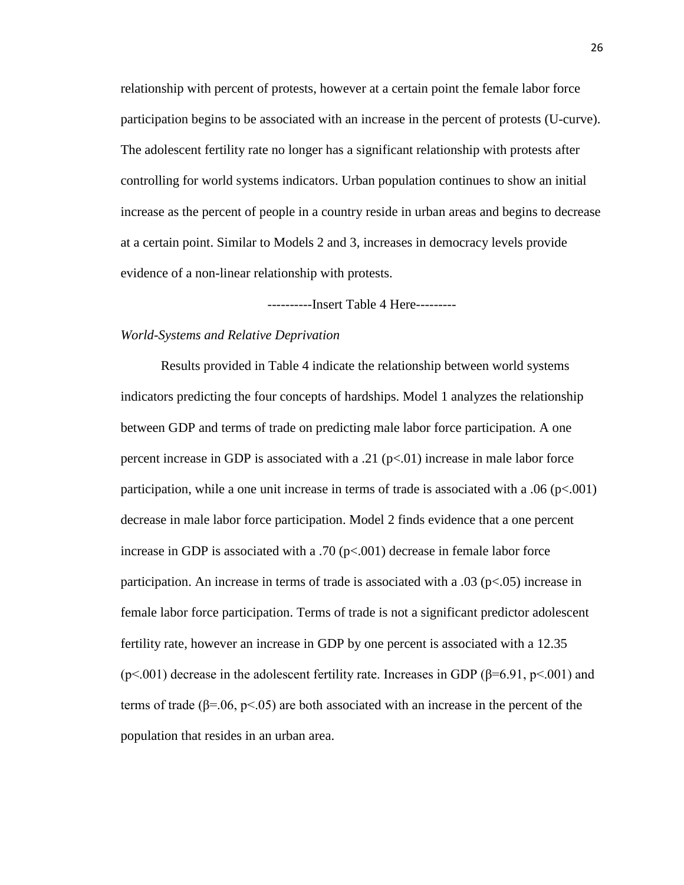relationship with percent of protests, however at a certain point the female labor force participation begins to be associated with an increase in the percent of protests (U-curve). The adolescent fertility rate no longer has a significant relationship with protests after controlling for world systems indicators. Urban population continues to show an initial increase as the percent of people in a country reside in urban areas and begins to decrease at a certain point. Similar to Models 2 and 3, increases in democracy levels provide evidence of a non-linear relationship with protests.

----------Insert Table 4 Here---------

#### *World-Systems and Relative Deprivation*

Results provided in Table 4 indicate the relationship between world systems indicators predicting the four concepts of hardships. Model 1 analyzes the relationship between GDP and terms of trade on predicting male labor force participation. A one percent increase in GDP is associated with a .21 ( $p<0$ ) increase in male labor force participation, while a one unit increase in terms of trade is associated with a .06 ( $p<.001$ ) decrease in male labor force participation. Model 2 finds evidence that a one percent increase in GDP is associated with a .70 ( $p<.001$ ) decrease in female labor force participation. An increase in terms of trade is associated with a  $.03$  (p $< .05$ ) increase in female labor force participation. Terms of trade is not a significant predictor adolescent fertility rate, however an increase in GDP by one percent is associated with a 12.35 (p<.001) decrease in the adolescent fertility rate. Increases in GDP ( $\beta$ =6.91, p<.001) and terms of trade ( $\beta$ =.06, p<.05) are both associated with an increase in the percent of the population that resides in an urban area.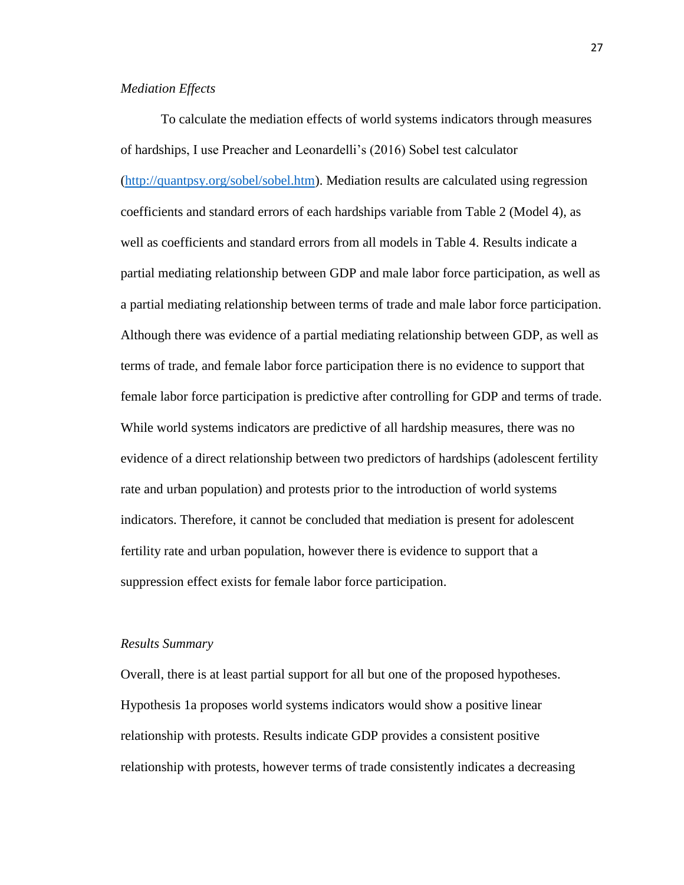#### *Mediation Effects*

To calculate the mediation effects of world systems indicators through measures of hardships, I use Preacher and Leonardelli's (2016) Sobel test calculator [\(http://quantpsy.org/sobel/sobel.htm\)](http://quantpsy.org/sobel/sobel.htm). Mediation results are calculated using regression coefficients and standard errors of each hardships variable from Table 2 (Model 4), as well as coefficients and standard errors from all models in Table 4. Results indicate a partial mediating relationship between GDP and male labor force participation, as well as a partial mediating relationship between terms of trade and male labor force participation. Although there was evidence of a partial mediating relationship between GDP, as well as terms of trade, and female labor force participation there is no evidence to support that female labor force participation is predictive after controlling for GDP and terms of trade. While world systems indicators are predictive of all hardship measures, there was no evidence of a direct relationship between two predictors of hardships (adolescent fertility rate and urban population) and protests prior to the introduction of world systems indicators. Therefore, it cannot be concluded that mediation is present for adolescent fertility rate and urban population, however there is evidence to support that a suppression effect exists for female labor force participation.

#### *Results Summary*

Overall, there is at least partial support for all but one of the proposed hypotheses. Hypothesis 1a proposes world systems indicators would show a positive linear relationship with protests. Results indicate GDP provides a consistent positive relationship with protests, however terms of trade consistently indicates a decreasing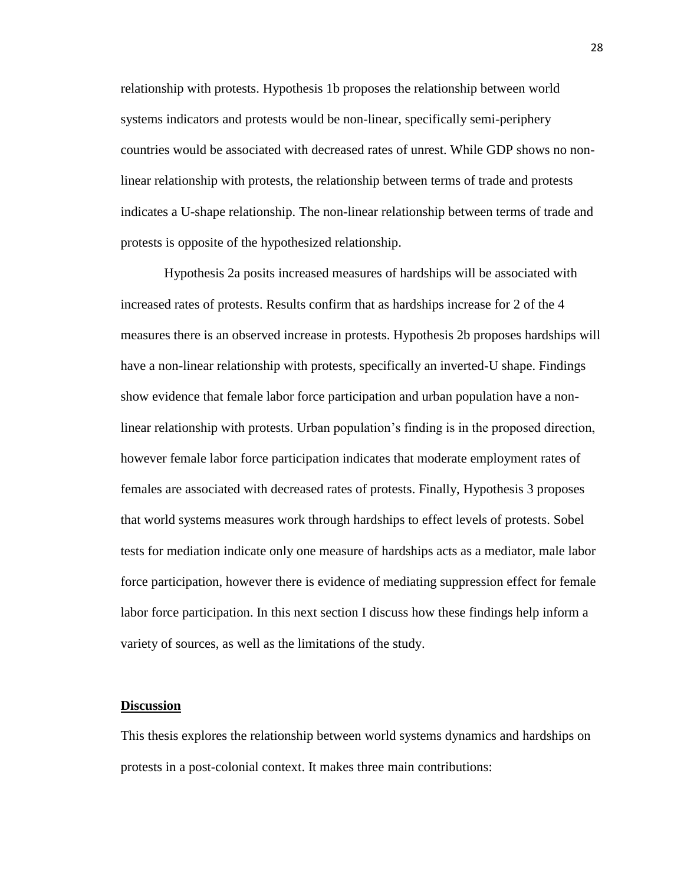relationship with protests. Hypothesis 1b proposes the relationship between world systems indicators and protests would be non-linear, specifically semi-periphery countries would be associated with decreased rates of unrest. While GDP shows no nonlinear relationship with protests, the relationship between terms of trade and protests indicates a U-shape relationship. The non-linear relationship between terms of trade and protests is opposite of the hypothesized relationship.

Hypothesis 2a posits increased measures of hardships will be associated with increased rates of protests. Results confirm that as hardships increase for 2 of the 4 measures there is an observed increase in protests. Hypothesis 2b proposes hardships will have a non-linear relationship with protests, specifically an inverted-U shape. Findings show evidence that female labor force participation and urban population have a nonlinear relationship with protests. Urban population's finding is in the proposed direction, however female labor force participation indicates that moderate employment rates of females are associated with decreased rates of protests. Finally, Hypothesis 3 proposes that world systems measures work through hardships to effect levels of protests. Sobel tests for mediation indicate only one measure of hardships acts as a mediator, male labor force participation, however there is evidence of mediating suppression effect for female labor force participation. In this next section I discuss how these findings help inform a variety of sources, as well as the limitations of the study.

#### **Discussion**

This thesis explores the relationship between world systems dynamics and hardships on protests in a post-colonial context. It makes three main contributions: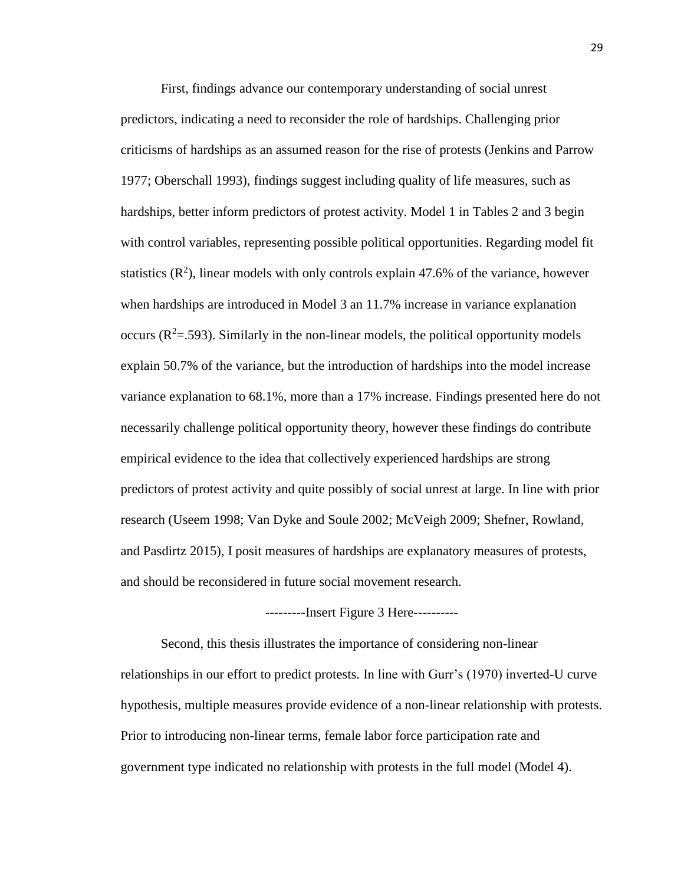First, findings advance our contemporary understanding of social unrest predictors, indicating a need to reconsider the role of hardships. Challenging prior criticisms of hardships as an assumed reason for the rise of protests (Jenkins and Parrow 1977; Oberschall 1993), findings suggest including quality of life measures, such as hardships, better inform predictors of protest activity. Model 1 in Tables 2 and 3 begin with control variables, representing possible political opportunities. Regarding model fit statistics  $(R^2)$ , linear models with only controls explain 47.6% of the variance, however when hardships are introduced in Model 3 an 11.7% increase in variance explanation occurs  $(R^2 = .593)$ . Similarly in the non-linear models, the political opportunity models explain 50.7% of the variance, but the introduction of hardships into the model increase variance explanation to 68.1%, more than a 17% increase. Findings presented here do not necessarily challenge political opportunity theory, however these findings do contribute empirical evidence to the idea that collectively experienced hardships are strong predictors of protest activity and quite possibly of social unrest at large. In line with prior research (Useem 1998; Van Dyke and Soule 2002; McVeigh 2009; Shefner, Rowland, and Pasdirtz 2015), I posit measures of hardships are explanatory measures of protests, and should be reconsidered in future social movement research.

#### ---------Insert Figure 3 Here----------

Second, this thesis illustrates the importance of considering non-linear relationships in our effort to predict protests. In line with Gurr's (1970) inverted-U curve hypothesis, multiple measures provide evidence of a non-linear relationship with protests. Prior to introducing non-linear terms, female labor force participation rate and government type indicated no relationship with protests in the full model (Model 4).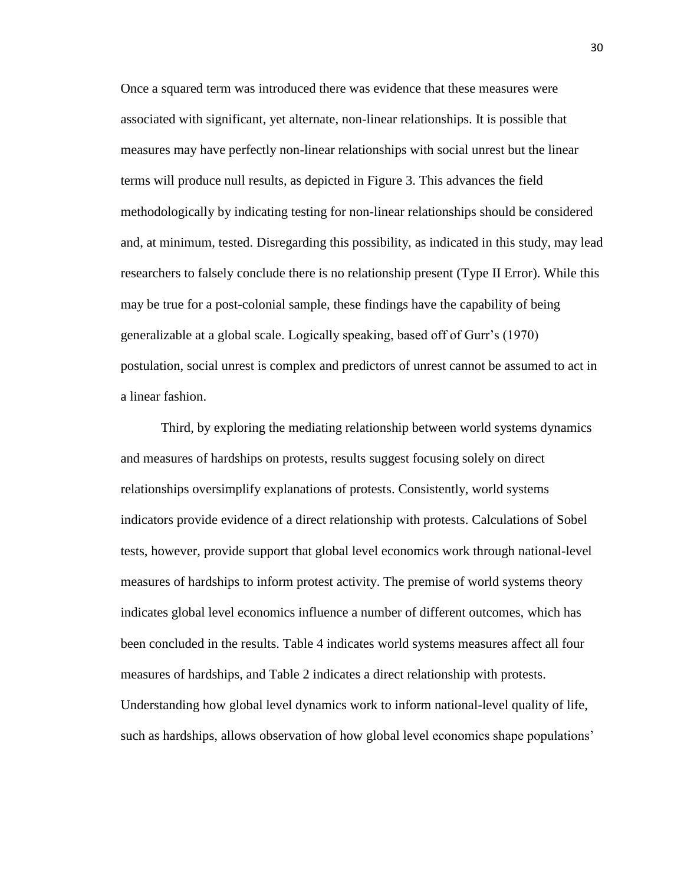Once a squared term was introduced there was evidence that these measures were associated with significant, yet alternate, non-linear relationships. It is possible that measures may have perfectly non-linear relationships with social unrest but the linear terms will produce null results, as depicted in Figure 3. This advances the field methodologically by indicating testing for non-linear relationships should be considered and, at minimum, tested. Disregarding this possibility, as indicated in this study, may lead researchers to falsely conclude there is no relationship present (Type II Error). While this may be true for a post-colonial sample, these findings have the capability of being generalizable at a global scale. Logically speaking, based off of Gurr's (1970) postulation, social unrest is complex and predictors of unrest cannot be assumed to act in a linear fashion.

Third, by exploring the mediating relationship between world systems dynamics and measures of hardships on protests, results suggest focusing solely on direct relationships oversimplify explanations of protests. Consistently, world systems indicators provide evidence of a direct relationship with protests. Calculations of Sobel tests, however, provide support that global level economics work through national-level measures of hardships to inform protest activity. The premise of world systems theory indicates global level economics influence a number of different outcomes, which has been concluded in the results. Table 4 indicates world systems measures affect all four measures of hardships, and Table 2 indicates a direct relationship with protests. Understanding how global level dynamics work to inform national-level quality of life, such as hardships, allows observation of how global level economics shape populations'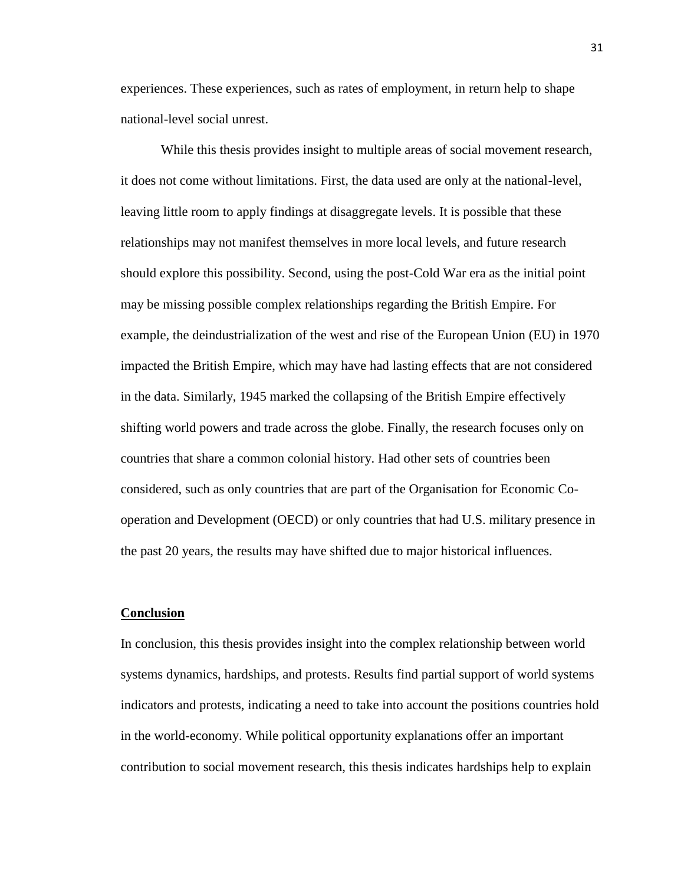experiences. These experiences, such as rates of employment, in return help to shape national-level social unrest.

While this thesis provides insight to multiple areas of social movement research, it does not come without limitations. First, the data used are only at the national-level, leaving little room to apply findings at disaggregate levels. It is possible that these relationships may not manifest themselves in more local levels, and future research should explore this possibility. Second, using the post-Cold War era as the initial point may be missing possible complex relationships regarding the British Empire. For example, the deindustrialization of the west and rise of the European Union (EU) in 1970 impacted the British Empire, which may have had lasting effects that are not considered in the data. Similarly, 1945 marked the collapsing of the British Empire effectively shifting world powers and trade across the globe. Finally, the research focuses only on countries that share a common colonial history. Had other sets of countries been considered, such as only countries that are part of the Organisation for Economic Cooperation and Development (OECD) or only countries that had U.S. military presence in the past 20 years, the results may have shifted due to major historical influences.

#### **Conclusion**

In conclusion, this thesis provides insight into the complex relationship between world systems dynamics, hardships, and protests. Results find partial support of world systems indicators and protests, indicating a need to take into account the positions countries hold in the world-economy. While political opportunity explanations offer an important contribution to social movement research, this thesis indicates hardships help to explain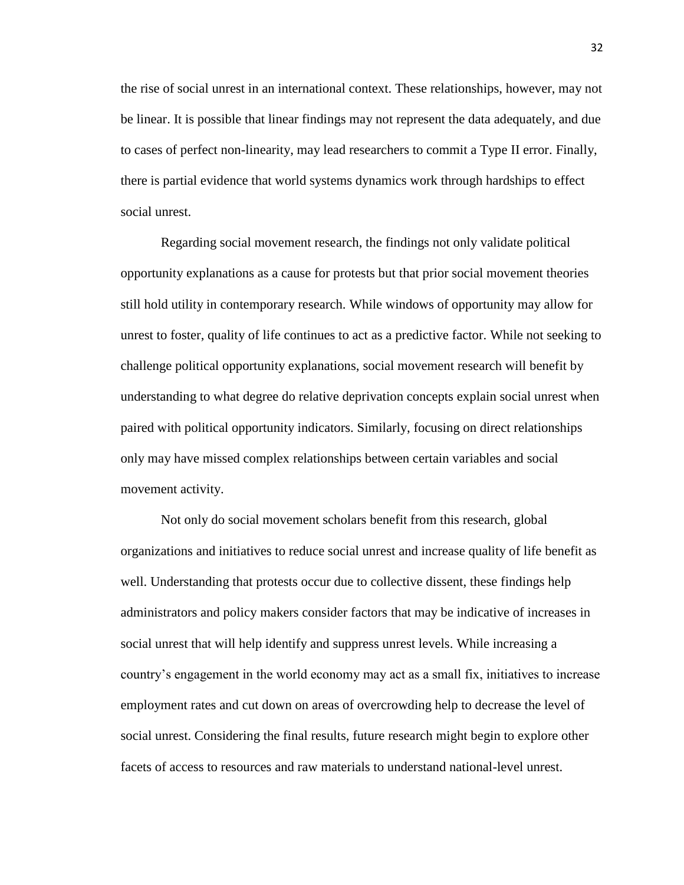the rise of social unrest in an international context. These relationships, however, may not be linear. It is possible that linear findings may not represent the data adequately, and due to cases of perfect non-linearity, may lead researchers to commit a Type II error. Finally, there is partial evidence that world systems dynamics work through hardships to effect social unrest.

Regarding social movement research, the findings not only validate political opportunity explanations as a cause for protests but that prior social movement theories still hold utility in contemporary research. While windows of opportunity may allow for unrest to foster, quality of life continues to act as a predictive factor. While not seeking to challenge political opportunity explanations, social movement research will benefit by understanding to what degree do relative deprivation concepts explain social unrest when paired with political opportunity indicators. Similarly, focusing on direct relationships only may have missed complex relationships between certain variables and social movement activity.

Not only do social movement scholars benefit from this research, global organizations and initiatives to reduce social unrest and increase quality of life benefit as well. Understanding that protests occur due to collective dissent, these findings help administrators and policy makers consider factors that may be indicative of increases in social unrest that will help identify and suppress unrest levels. While increasing a country's engagement in the world economy may act as a small fix, initiatives to increase employment rates and cut down on areas of overcrowding help to decrease the level of social unrest. Considering the final results, future research might begin to explore other facets of access to resources and raw materials to understand national-level unrest.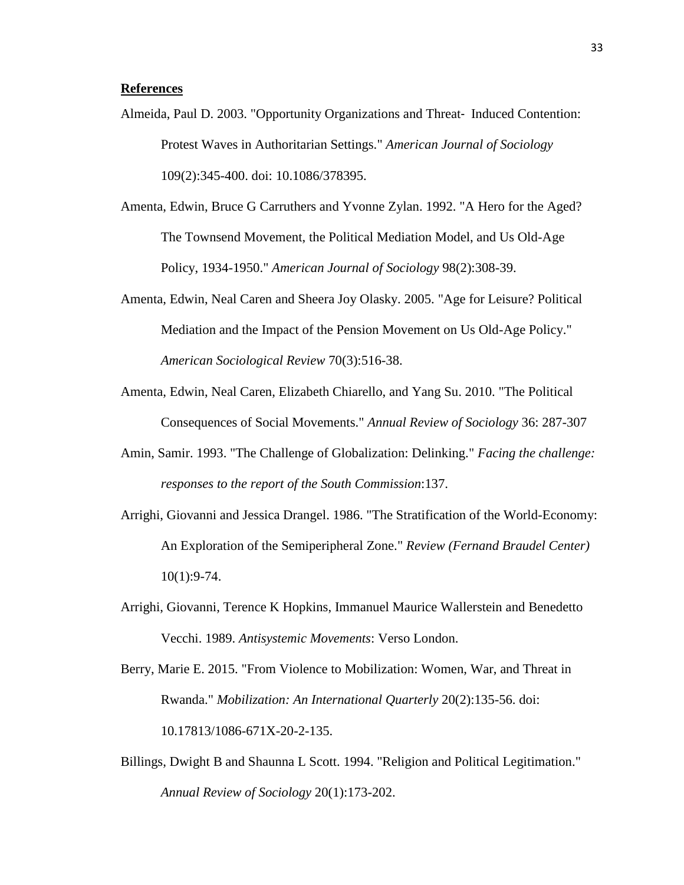#### **References**

- Almeida, Paul D. 2003. "Opportunity Organizations and Threat‐ Induced Contention: Protest Waves in Authoritarian Settings." *American Journal of Sociology* 109(2):345-400. doi: 10.1086/378395.
- Amenta, Edwin, Bruce G Carruthers and Yvonne Zylan. 1992. "A Hero for the Aged? The Townsend Movement, the Political Mediation Model, and Us Old-Age Policy, 1934-1950." *American Journal of Sociology* 98(2):308-39.
- Amenta, Edwin, Neal Caren and Sheera Joy Olasky. 2005. "Age for Leisure? Political Mediation and the Impact of the Pension Movement on Us Old-Age Policy." *American Sociological Review* 70(3):516-38.
- Amenta, Edwin, Neal Caren, Elizabeth Chiarello, and Yang Su. 2010. "The Political Consequences of Social Movements." *Annual Review of Sociology* 36: 287-307
- Amin, Samir. 1993. "The Challenge of Globalization: Delinking." *Facing the challenge: responses to the report of the South Commission*:137.
- Arrighi, Giovanni and Jessica Drangel. 1986. "The Stratification of the World-Economy: An Exploration of the Semiperipheral Zone." *Review (Fernand Braudel Center)* 10(1):9-74.
- Arrighi, Giovanni, Terence K Hopkins, Immanuel Maurice Wallerstein and Benedetto Vecchi. 1989. *Antisystemic Movements*: Verso London.
- Berry, Marie E. 2015. "From Violence to Mobilization: Women, War, and Threat in Rwanda." *Mobilization: An International Quarterly* 20(2):135-56. doi: 10.17813/1086-671X-20-2-135.
- Billings, Dwight B and Shaunna L Scott. 1994. "Religion and Political Legitimation." *Annual Review of Sociology* 20(1):173-202.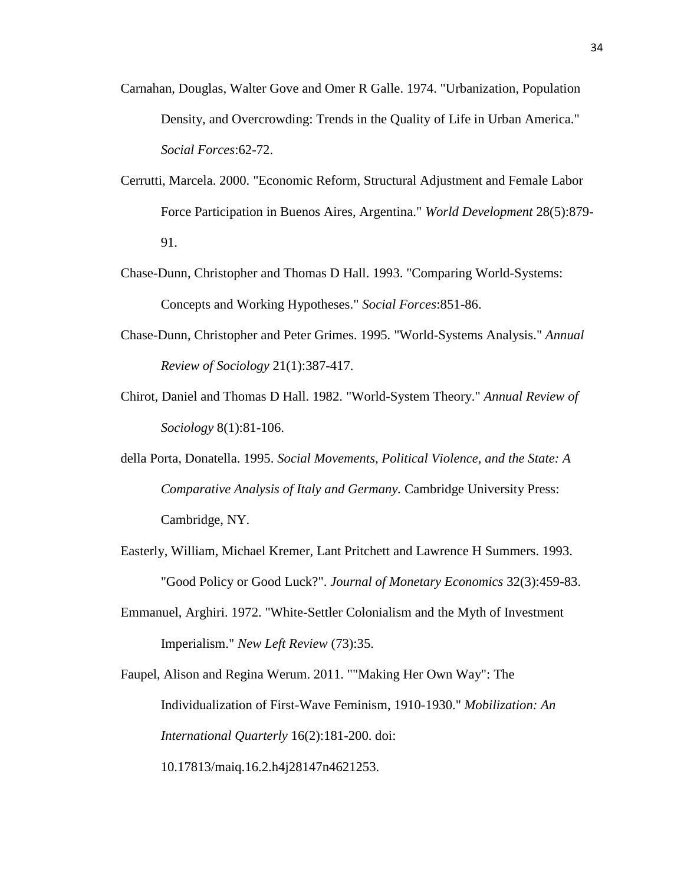- Carnahan, Douglas, Walter Gove and Omer R Galle. 1974. "Urbanization, Population Density, and Overcrowding: Trends in the Quality of Life in Urban America." *Social Forces*:62-72.
- Cerrutti, Marcela. 2000. "Economic Reform, Structural Adjustment and Female Labor Force Participation in Buenos Aires, Argentina." *World Development* 28(5):879- 91.
- Chase-Dunn, Christopher and Thomas D Hall. 1993. "Comparing World-Systems: Concepts and Working Hypotheses." *Social Forces*:851-86.
- Chase-Dunn, Christopher and Peter Grimes. 1995. "World-Systems Analysis." *Annual Review of Sociology* 21(1):387-417.
- Chirot, Daniel and Thomas D Hall. 1982. "World-System Theory." *Annual Review of Sociology* 8(1):81-106.
- della Porta, Donatella. 1995. *Social Movements, Political Violence, and the State: A Comparative Analysis of Italy and Germany.* Cambridge University Press: Cambridge, NY.
- Easterly, William, Michael Kremer, Lant Pritchett and Lawrence H Summers. 1993. "Good Policy or Good Luck?". *Journal of Monetary Economics* 32(3):459-83.
- Emmanuel, Arghiri. 1972. "White-Settler Colonialism and the Myth of Investment Imperialism." *New Left Review* (73):35.

Faupel, Alison and Regina Werum. 2011. ""Making Her Own Way": The Individualization of First-Wave Feminism, 1910-1930." *Mobilization: An International Quarterly* 16(2):181-200. doi:

10.17813/maiq.16.2.h4j28147n4621253.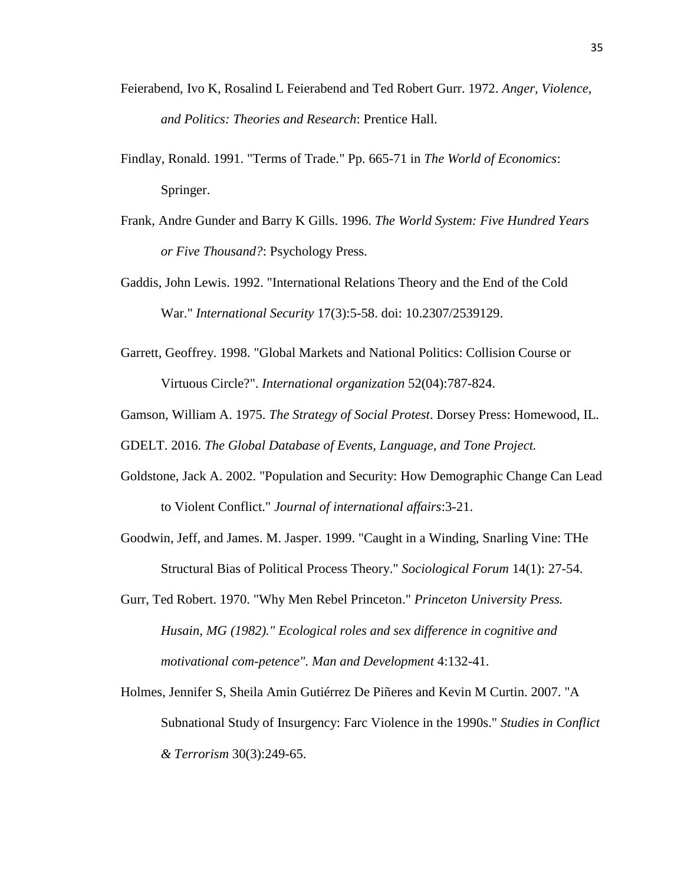- Feierabend, Ivo K, Rosalind L Feierabend and Ted Robert Gurr. 1972. *Anger, Violence, and Politics: Theories and Research*: Prentice Hall.
- Findlay, Ronald. 1991. "Terms of Trade." Pp. 665-71 in *The World of Economics*: Springer.
- Frank, Andre Gunder and Barry K Gills. 1996. *The World System: Five Hundred Years or Five Thousand?*: Psychology Press.
- Gaddis, John Lewis. 1992. "International Relations Theory and the End of the Cold War." *International Security* 17(3):5-58. doi: 10.2307/2539129.
- Garrett, Geoffrey. 1998. "Global Markets and National Politics: Collision Course or Virtuous Circle?". *International organization* 52(04):787-824.
- Gamson, William A. 1975. *The Strategy of Social Protest*. Dorsey Press: Homewood, IL.

GDELT. 2016. *The Global Database of Events, Language, and Tone Project.* 

- Goldstone, Jack A. 2002. "Population and Security: How Demographic Change Can Lead to Violent Conflict." *Journal of international affairs*:3-21.
- Goodwin, Jeff, and James. M. Jasper. 1999. "Caught in a Winding, Snarling Vine: THe Structural Bias of Political Process Theory." *Sociological Forum* 14(1): 27-54.
- Gurr, Ted Robert. 1970. "Why Men Rebel Princeton." *Princeton University Press. Husain, MG (1982)." Ecological roles and sex difference in cognitive and motivational com-petence". Man and Development* 4:132-41.
- Holmes, Jennifer S, Sheila Amin Gutiérrez De Piñeres and Kevin M Curtin. 2007. "A Subnational Study of Insurgency: Farc Violence in the 1990s." *Studies in Conflict & Terrorism* 30(3):249-65.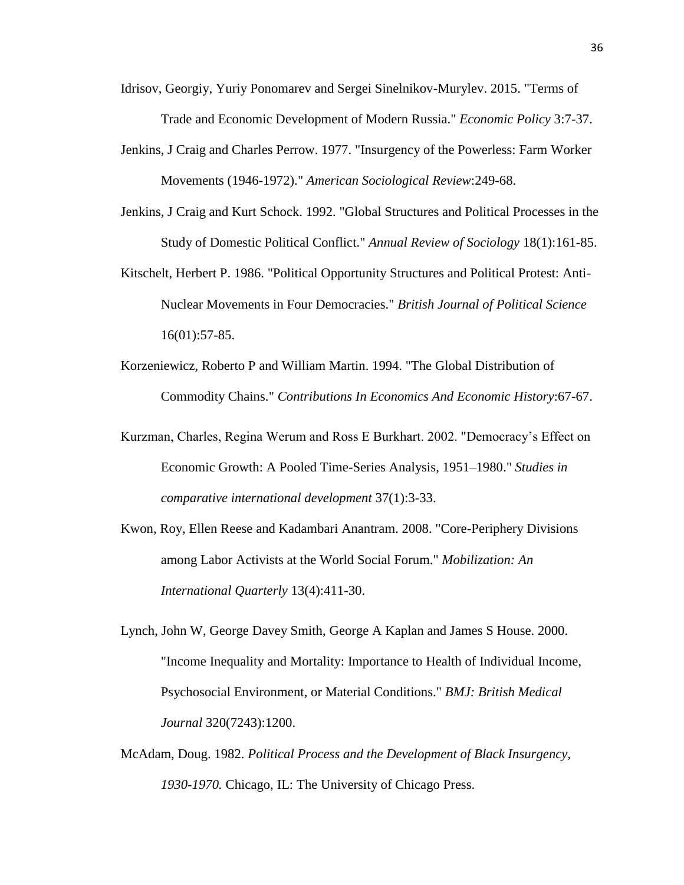- Idrisov, Georgiy, Yuriy Ponomarev and Sergei Sinelnikov-Murylev. 2015. "Terms of Trade and Economic Development of Modern Russia." *Economic Policy* 3:7-37.
- Jenkins, J Craig and Charles Perrow. 1977. "Insurgency of the Powerless: Farm Worker Movements (1946-1972)." *American Sociological Review*:249-68.
- Jenkins, J Craig and Kurt Schock. 1992. "Global Structures and Political Processes in the Study of Domestic Political Conflict." *Annual Review of Sociology* 18(1):161-85.
- Kitschelt, Herbert P. 1986. "Political Opportunity Structures and Political Protest: Anti-Nuclear Movements in Four Democracies." *British Journal of Political Science* 16(01):57-85.
- Korzeniewicz, Roberto P and William Martin. 1994. "The Global Distribution of Commodity Chains." *Contributions In Economics And Economic History*:67-67.
- Kurzman, Charles, Regina Werum and Ross E Burkhart. 2002. "Democracy's Effect on Economic Growth: A Pooled Time-Series Analysis, 1951–1980." *Studies in comparative international development* 37(1):3-33.
- Kwon, Roy, Ellen Reese and Kadambari Anantram. 2008. "Core-Periphery Divisions among Labor Activists at the World Social Forum." *Mobilization: An International Quarterly* 13(4):411-30.
- Lynch, John W, George Davey Smith, George A Kaplan and James S House. 2000. "Income Inequality and Mortality: Importance to Health of Individual Income, Psychosocial Environment, or Material Conditions." *BMJ: British Medical Journal* 320(7243):1200.
- McAdam, Doug. 1982. *Political Process and the Development of Black Insurgency, 1930-1970.* Chicago, IL: The University of Chicago Press.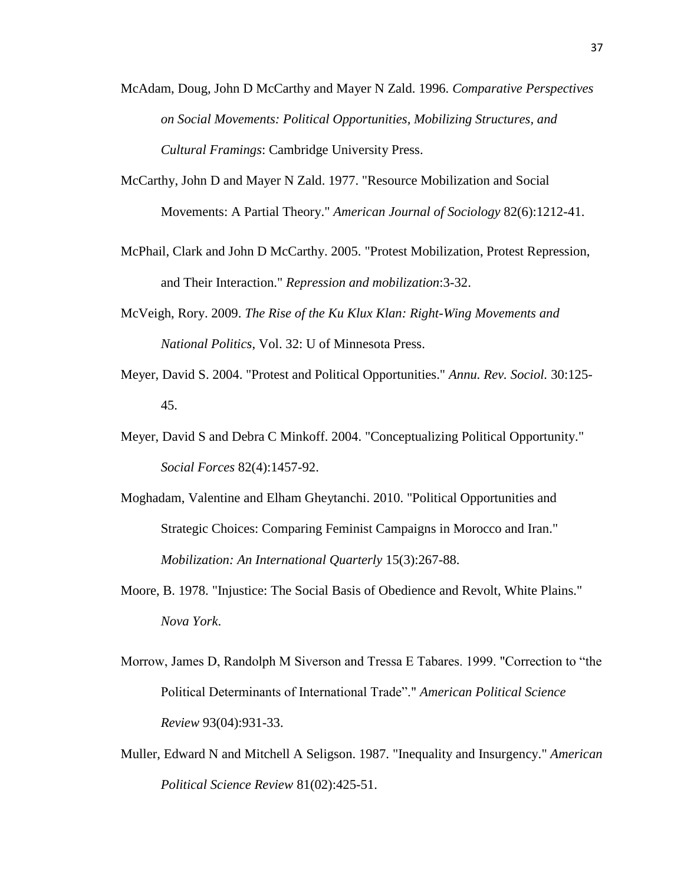- McAdam, Doug, John D McCarthy and Mayer N Zald. 1996. *Comparative Perspectives on Social Movements: Political Opportunities, Mobilizing Structures, and Cultural Framings*: Cambridge University Press.
- McCarthy, John D and Mayer N Zald. 1977. "Resource Mobilization and Social Movements: A Partial Theory." *American Journal of Sociology* 82(6):1212-41.
- McPhail, Clark and John D McCarthy. 2005. "Protest Mobilization, Protest Repression, and Their Interaction." *Repression and mobilization*:3-32.
- McVeigh, Rory. 2009. *The Rise of the Ku Klux Klan: Right-Wing Movements and National Politics*, Vol. 32: U of Minnesota Press.
- Meyer, David S. 2004. "Protest and Political Opportunities." *Annu. Rev. Sociol.* 30:125- 45.
- Meyer, David S and Debra C Minkoff. 2004. "Conceptualizing Political Opportunity." *Social Forces* 82(4):1457-92.
- Moghadam, Valentine and Elham Gheytanchi. 2010. "Political Opportunities and Strategic Choices: Comparing Feminist Campaigns in Morocco and Iran." *Mobilization: An International Quarterly* 15(3):267-88.
- Moore, B. 1978. "Injustice: The Social Basis of Obedience and Revolt, White Plains." *Nova York*.
- Morrow, James D, Randolph M Siverson and Tressa E Tabares. 1999. "Correction to "the Political Determinants of International Trade"." *American Political Science Review* 93(04):931-33.
- Muller, Edward N and Mitchell A Seligson. 1987. "Inequality and Insurgency." *American Political Science Review* 81(02):425-51.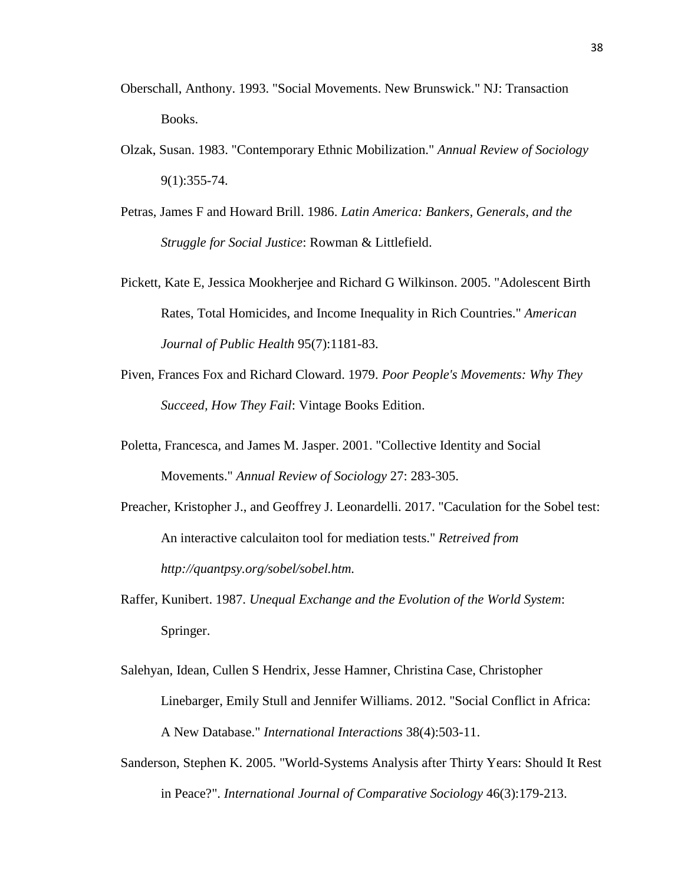- Oberschall, Anthony. 1993. "Social Movements. New Brunswick." NJ: Transaction Books.
- Olzak, Susan. 1983. "Contemporary Ethnic Mobilization." *Annual Review of Sociology* 9(1):355-74.
- Petras, James F and Howard Brill. 1986. *Latin America: Bankers, Generals, and the Struggle for Social Justice*: Rowman & Littlefield.
- Pickett, Kate E, Jessica Mookherjee and Richard G Wilkinson. 2005. "Adolescent Birth Rates, Total Homicides, and Income Inequality in Rich Countries." *American Journal of Public Health* 95(7):1181-83.
- Piven, Frances Fox and Richard Cloward. 1979. *Poor People's Movements: Why They Succeed, How They Fail*: Vintage Books Edition.
- Poletta, Francesca, and James M. Jasper. 2001. "Collective Identity and Social Movements." *Annual Review of Sociology* 27: 283-305.
- Preacher, Kristopher J., and Geoffrey J. Leonardelli. 2017. "Caculation for the Sobel test: An interactive calculaiton tool for mediation tests." *Retreived from http://quantpsy.org/sobel/sobel.htm.*
- Raffer, Kunibert. 1987. *Unequal Exchange and the Evolution of the World System*: Springer.
- Salehyan, Idean, Cullen S Hendrix, Jesse Hamner, Christina Case, Christopher Linebarger, Emily Stull and Jennifer Williams. 2012. "Social Conflict in Africa: A New Database." *International Interactions* 38(4):503-11.
- Sanderson, Stephen K. 2005. "World-Systems Analysis after Thirty Years: Should It Rest in Peace?". *International Journal of Comparative Sociology* 46(3):179-213.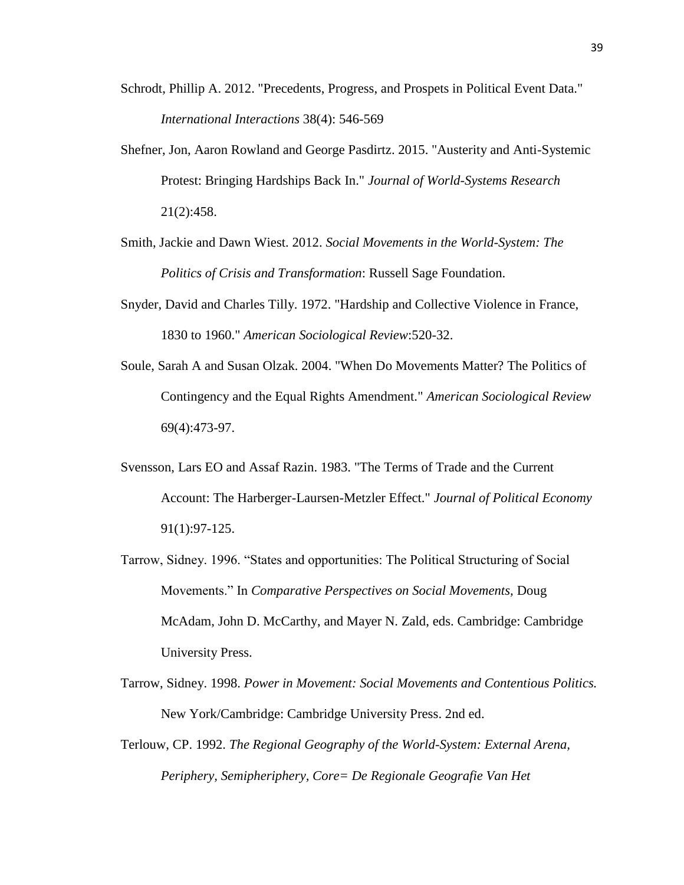- Schrodt, Phillip A. 2012. "Precedents, Progress, and Prospets in Political Event Data." *International Interactions* 38(4): 546-569
- Shefner, Jon, Aaron Rowland and George Pasdirtz. 2015. "Austerity and Anti-Systemic Protest: Bringing Hardships Back In." *Journal of World-Systems Research* 21(2):458.
- Smith, Jackie and Dawn Wiest. 2012. *Social Movements in the World-System: The Politics of Crisis and Transformation*: Russell Sage Foundation.
- Snyder, David and Charles Tilly. 1972. "Hardship and Collective Violence in France, 1830 to 1960." *American Sociological Review*:520-32.
- Soule, Sarah A and Susan Olzak. 2004. "When Do Movements Matter? The Politics of Contingency and the Equal Rights Amendment." *American Sociological Review* 69(4):473-97.
- Svensson, Lars EO and Assaf Razin. 1983. "The Terms of Trade and the Current Account: The Harberger-Laursen-Metzler Effect." *Journal of Political Economy* 91(1):97-125.
- Tarrow, Sidney. 1996. "States and opportunities: The Political Structuring of Social Movements." In *Comparative Perspectives on Social Movements,* Doug McAdam, John D. McCarthy, and Mayer N. Zald, eds. Cambridge: Cambridge University Press.
- Tarrow, Sidney. 1998. *Power in Movement: Social Movements and Contentious Politics.*  New York/Cambridge: Cambridge University Press. 2nd ed.
- Terlouw, CP. 1992. *The Regional Geography of the World-System: External Arena, Periphery, Semipheriphery, Core= De Regionale Geografie Van Het*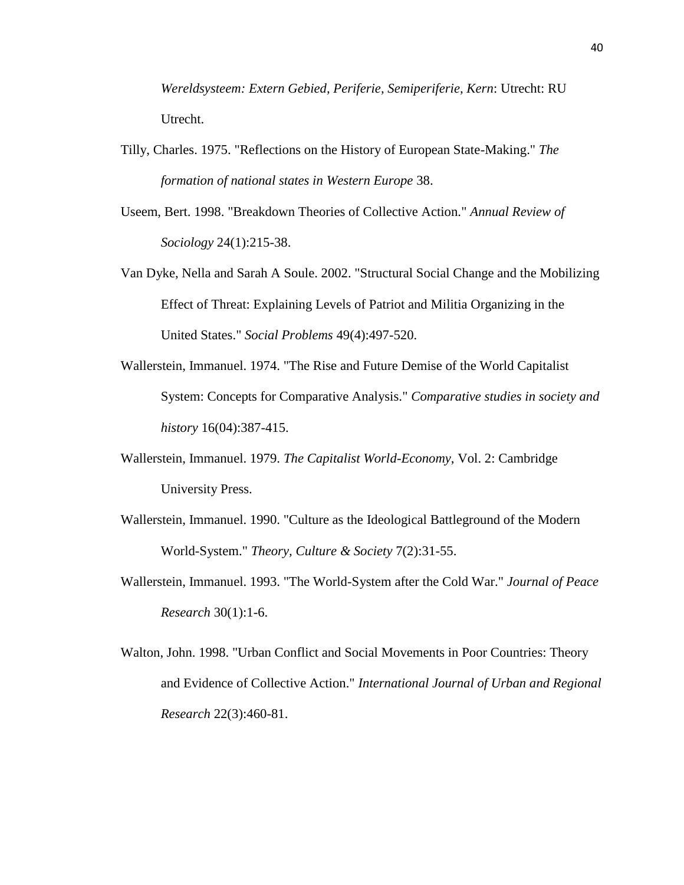*Wereldsysteem: Extern Gebied, Periferie, Semiperiferie, Kern*: Utrecht: RU Utrecht.

- Tilly, Charles. 1975. "Reflections on the History of European State-Making." *The formation of national states in Western Europe* 38.
- Useem, Bert. 1998. "Breakdown Theories of Collective Action." *Annual Review of Sociology* 24(1):215-38.
- Van Dyke, Nella and Sarah A Soule. 2002. "Structural Social Change and the Mobilizing Effect of Threat: Explaining Levels of Patriot and Militia Organizing in the United States." *Social Problems* 49(4):497-520.
- Wallerstein, Immanuel. 1974. "The Rise and Future Demise of the World Capitalist System: Concepts for Comparative Analysis." *Comparative studies in society and history* 16(04):387-415.
- Wallerstein, Immanuel. 1979. *The Capitalist World-Economy*, Vol. 2: Cambridge University Press.
- Wallerstein, Immanuel. 1990. "Culture as the Ideological Battleground of the Modern World-System." *Theory, Culture & Society* 7(2):31-55.
- Wallerstein, Immanuel. 1993. "The World-System after the Cold War." *Journal of Peace Research* 30(1):1-6.
- Walton, John. 1998. "Urban Conflict and Social Movements in Poor Countries: Theory and Evidence of Collective Action." *International Journal of Urban and Regional Research* 22(3):460-81.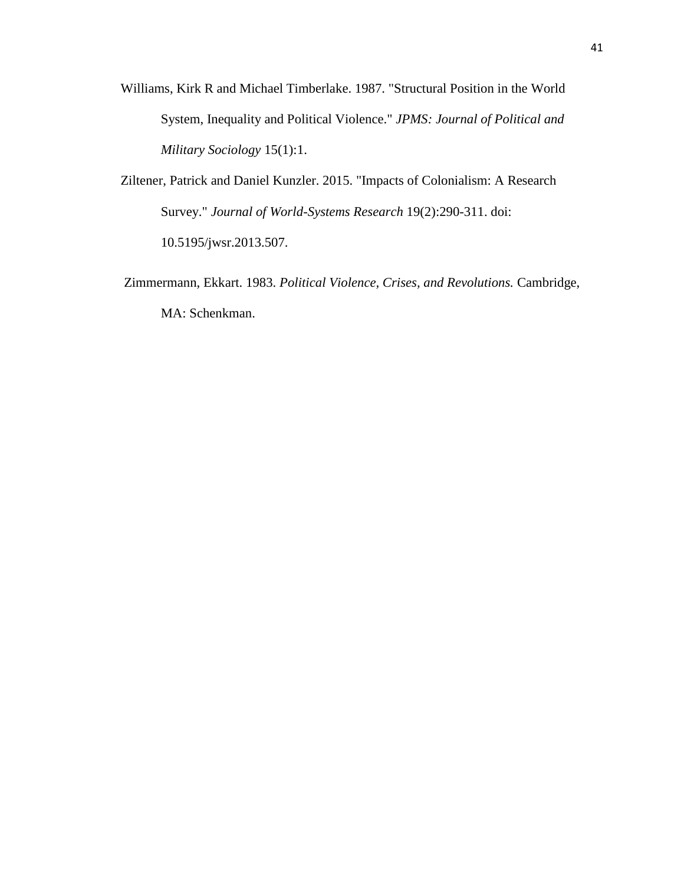- Williams, Kirk R and Michael Timberlake. 1987. "Structural Position in the World System, Inequality and Political Violence." *JPMS: Journal of Political and Military Sociology* 15(1):1.
- Ziltener, Patrick and Daniel Kunzler. 2015. "Impacts of Colonialism: A Research Survey." *Journal of World-Systems Research* 19(2):290-311. doi: 10.5195/jwsr.2013.507.
- Zimmermann, Ekkart. 1983. *Political Violence, Crises, and Revolutions.* Cambridge, MA: Schenkman.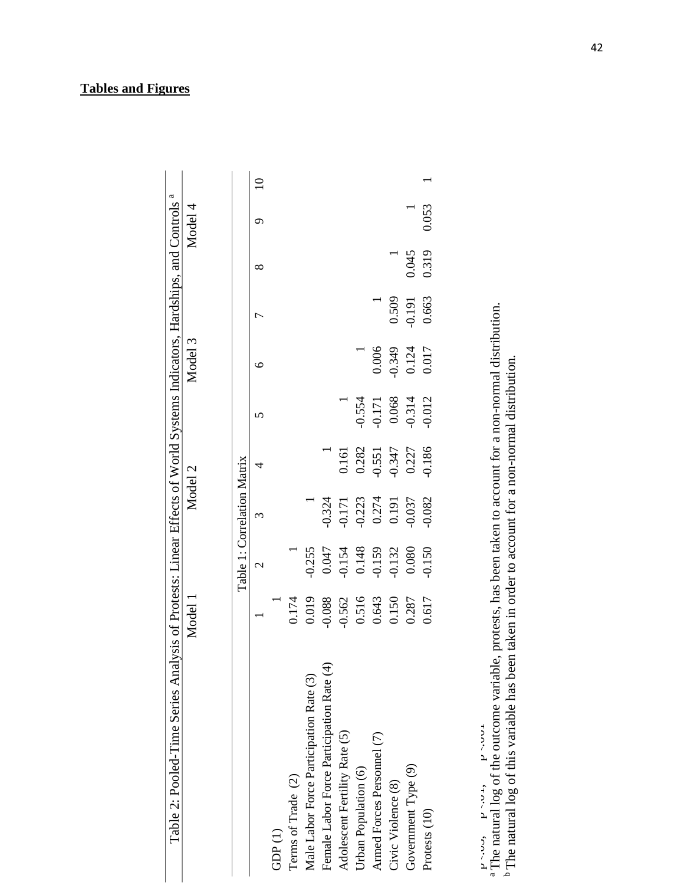### **Tables and Figures**

|                                          | Model 1  |                | Model 2                     |          |          | Model 3  |          |       | Model 4 |             |
|------------------------------------------|----------|----------------|-----------------------------|----------|----------|----------|----------|-------|---------|-------------|
|                                          |          |                | Table 1: Correlation Matrix |          |          |          |          |       |         |             |
|                                          |          | $\mathbf{C}$   | 3                           | 4        | n        | ℃        |          | ∞     | ○       | $\supseteq$ |
| GDP(1)                                   |          |                |                             |          |          |          |          |       |         |             |
| Terms of Trade (2)                       | 0.174    |                |                             |          |          |          |          |       |         |             |
| Male Labor Force Participation Rate (3)  | 0.019    | $-0.255$       |                             |          |          |          |          |       |         |             |
| Female Labor Force Participation Rate (4 | $-0.088$ | 0.047          | $-0.324$                    |          |          |          |          |       |         |             |
| Adolescent Fertility Rate (5)            | $-0.562$ | $-0.154$       | $-0.171$                    | 0.161    |          |          |          |       |         |             |
| Urban Population (6)                     | 0.516    | 0.148<br>0.159 | $-0.223$                    | 0.282    | $-0.554$ |          |          |       |         |             |
| Armed Forces Personnel (7)               | 0.643    |                | $0.274$<br>0.191            | $-0.551$ | $-0.171$ | 0.006    |          |       |         |             |
| Civic Violence (8)                       | 0.150    | $-0.132$       |                             | $-0.347$ | 0.068    | $-0.349$ | 0.509    |       |         |             |
| Government Type (9)                      | 0.287    | 0.080          | 0.037                       | 0.227    | 0.314    | 0.124    | $-0.191$ | 0.045 |         |             |
| Protests (10)                            | 0.617    | 0.150          | 0.082                       | 0.186    | 0.012    | 0.017    | 0.663    | 0.319 | 0.053   |             |

\*p<.05, \*\*p<.01, \*\*\*p<.001

 $P^{\sim \sim \nu}$ ,  $P^{\sim \sim \nu}$ ,  $P^{\sim \sim \nu}$ <br><sup>a</sup> The natural log of the outcome variable, protests, has been taken to account for a non-normal distribution.<br><sup>b</sup> The natural log of this variable has been taken in order to account a The natural log of the outcome variable, protests, has been taken to account for a non-normal distribution. b The natural log of this variable has been taken in order to account for a non-normal distribution.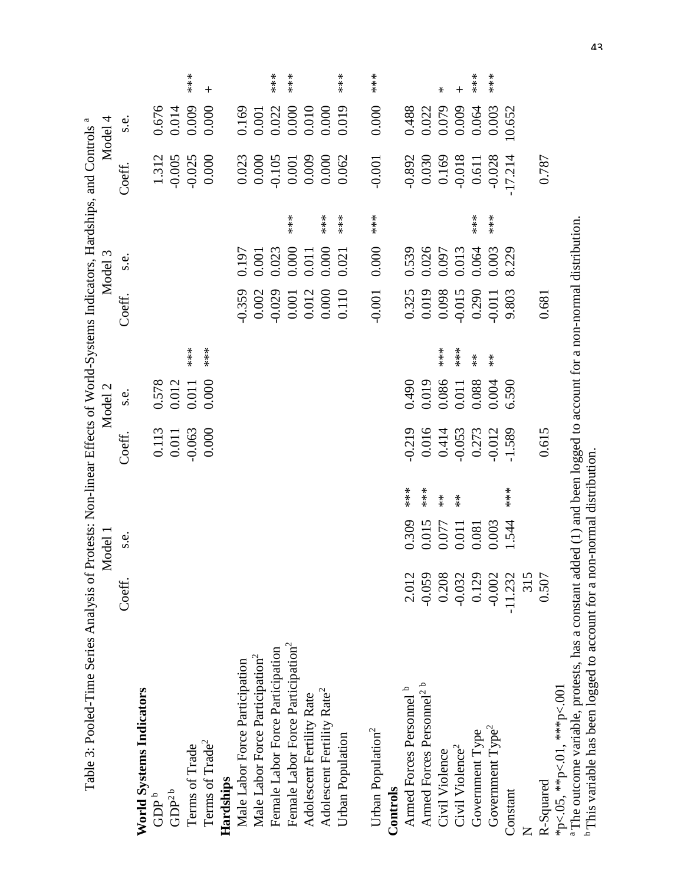| Table 3: Pooled-Time Series Analysis of Protests: Non-linear Effects of World-Systems Indicators, Hardships, and Controls <sup>a</sup> |           |         |                                  |                                               |                       |                                  |                                                                 |                |                     |                                                                 |                    |        |
|----------------------------------------------------------------------------------------------------------------------------------------|-----------|---------|----------------------------------|-----------------------------------------------|-----------------------|----------------------------------|-----------------------------------------------------------------|----------------|---------------------|-----------------------------------------------------------------|--------------------|--------|
|                                                                                                                                        |           | Model 1 |                                  |                                               | Model 2               |                                  |                                                                 | Model 3        |                     |                                                                 | Model 4            |        |
|                                                                                                                                        | Coeff.    | s.e.    |                                  | Coeff.                                        | s.e.                  |                                  | Coeff.                                                          | s.e.           |                     | Coeff.                                                          | s.e.               |        |
| <b>World Systems Indicators</b>                                                                                                        |           |         |                                  |                                               |                       |                                  |                                                                 |                |                     |                                                                 |                    |        |
| $GDP^b$                                                                                                                                |           |         |                                  |                                               |                       |                                  |                                                                 |                |                     |                                                                 |                    |        |
| GDP <sup>2 b</sup>                                                                                                                     |           |         |                                  | $\begin{array}{c} 0.113 \\ 0.011 \end{array}$ | $\frac{0.578}{0.012}$ |                                  |                                                                 |                |                     | 1.312<br>-0.005                                                 | 0.676<br>0.014     |        |
| Terms of Trade                                                                                                                         |           |         |                                  | $-0.063$                                      |                       | $**\underset{3}{*}$              |                                                                 |                |                     | $-0.025$                                                        | 0.009              | $***$  |
| Terms of Trade <sup>2</sup>                                                                                                            |           |         |                                  | 0.000                                         | 0.000                 | ***                              |                                                                 |                |                     | 0.000                                                           | 0.000              | $^{+}$ |
| Hardships                                                                                                                              |           |         |                                  |                                               |                       |                                  |                                                                 |                |                     |                                                                 |                    |        |
| Male Labor Force Participation                                                                                                         |           |         |                                  |                                               |                       |                                  | $-0.359$                                                        |                |                     |                                                                 |                    |        |
| Male Labor Force Participation <sup>2</sup>                                                                                            |           |         |                                  |                                               |                       |                                  | 0.002                                                           | 0.197<br>0.001 |                     | $\begin{array}{c} 0.023 \\ 0.000 \\ -0.105 \end{array}$         | $0.169$<br>$0.001$ |        |
| Female Labor Force Participation                                                                                                       |           |         |                                  |                                               |                       |                                  | $-0.029$                                                        | 0.023          |                     |                                                                 | 0.022              | $***$  |
| Female Labor Force Participation <sup>2</sup>                                                                                          |           |         |                                  |                                               |                       |                                  |                                                                 | 0.000          | $**\underset{3}{*}$ |                                                                 | 0.000              | ***    |
| Adolescent Fertility Rate                                                                                                              |           |         |                                  |                                               |                       |                                  | $\begin{array}{c} 0.001 \\ 0.012 \\ 0.000 \\ 0.110 \end{array}$ | 0.011          |                     | $\begin{array}{c} 0.001 \\ 0.009 \\ 0.000 \\ 0.062 \end{array}$ | 0.010              |        |
| Adolescent Fertility Rate <sup>2</sup>                                                                                                 |           |         |                                  |                                               |                       |                                  |                                                                 | 0.000          | $***$               |                                                                 | 0.000<br>0.019     |        |
| Urban Population                                                                                                                       |           |         |                                  |                                               |                       |                                  |                                                                 | 0.021          | $**\underset{3}{*}$ |                                                                 |                    | $**\n$ |
| Urban Population <sup>2</sup>                                                                                                          |           |         |                                  |                                               |                       |                                  | $-0.001$                                                        | 0.000          | ***                 | $-0.001$                                                        | 0.000              | $***$  |
| Controls                                                                                                                               |           |         |                                  |                                               |                       |                                  |                                                                 |                |                     |                                                                 |                    |        |
| Armed Forces Personnel <sup>b</sup>                                                                                                    | 2.012     | 0.309   | $**\n$                           | $-0.219$                                      | 0.019                 |                                  | 0.325<br>0.019                                                  | 0.539<br>0.026 |                     |                                                                 | 0.488<br>0.022     |        |
| Armed Forces Personnel <sup>2</sup> <sup>b</sup>                                                                                       | $-0.059$  | 0.015   | $***$                            | 0.016                                         |                       |                                  |                                                                 |                |                     | $-0.892$<br>0.030                                               |                    |        |
| Civil Violence                                                                                                                         | 0.208     | 0.077   | $^{\ast}_{\rm x}$                | 0.414                                         | 0.086                 | $**\n$                           | 0.098                                                           | 0.097          |                     | 0.169                                                           | 0.079              | $\ast$ |
| Civil Violence <sup>2</sup>                                                                                                            | $-0.032$  | 0.011   | $\stackrel{\textstyle{*}}{\ast}$ | $-0.053$                                      | 0.011                 | $***$                            | $-0.015$                                                        | 0.013          |                     | $-0.018$                                                        | 0.009              | $^{+}$ |
| Government Type                                                                                                                        | 0.129     | 0.081   |                                  | 0.273                                         | 0.088                 | $\stackrel{\textstyle{*}}{\ast}$ | 0.290                                                           | 0.064          | $**\n$              | 0.611                                                           | 0.064              | $***$  |
| Government Type <sup>2</sup>                                                                                                           | $-0.002$  | 0.003   |                                  | $-0.012$                                      | 0.004                 | $\stackrel{\textstyle{*}}{\ast}$ | $-0.011$                                                        | 0.003          | ***                 | $-0.028$                                                        | 0.003              | ***    |
| Constant                                                                                                                               | $-11.232$ | 1.544   | $***$                            | $-1.589$                                      | 6.590                 |                                  | 9.803                                                           | 8.229          |                     | 17.214                                                          | 10.652             |        |
|                                                                                                                                        | 315       |         |                                  |                                               |                       |                                  |                                                                 |                |                     |                                                                 |                    |        |
| R-Squared                                                                                                                              | 0.507     |         |                                  | 0.615                                         |                       |                                  | 0.681                                                           |                |                     | 0.787                                                           |                    |        |
| *p<.05, **p<.01, ***p<.001                                                                                                             |           |         |                                  |                                               |                       |                                  |                                                                 |                |                     |                                                                 |                    |        |

a The outcome variable, protests, has a constant added (1) and been logged to account for a non-normal distribution. <sup>a</sup>The outcome variable, protests, has a constant added (1) and been logged to account for a non-normal distribution. b This variable has been logged to account for a non-normal distribution. <sup>b</sup> This variable has been logged to account for a non-normal distribution. \*p<.05, \*\*p<.01, \*\*\*p<.001

43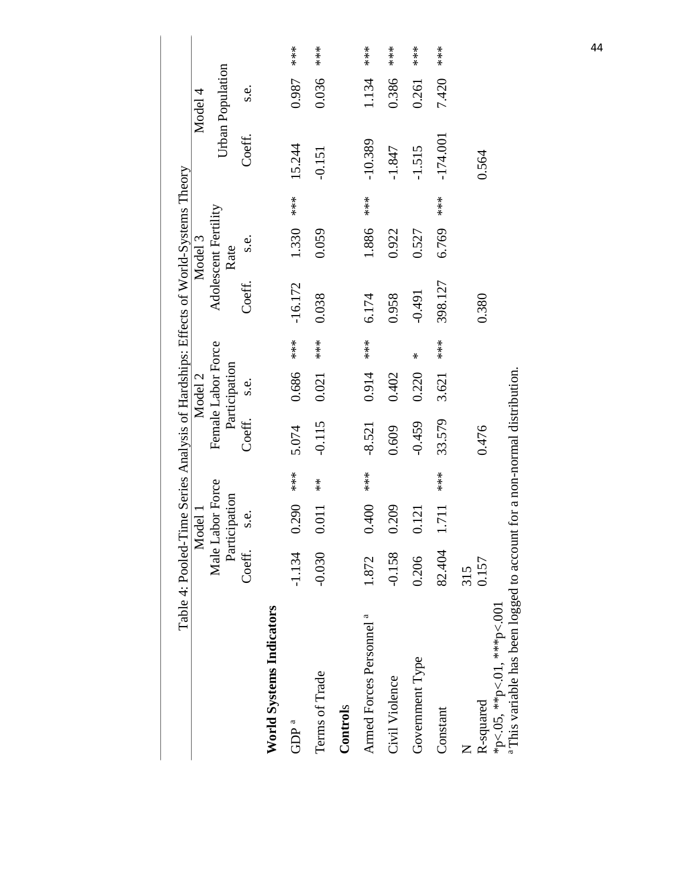|                                                                                                         |              | Model 1                           |                                                  |                    | Model 2       |                       | Table 4: Pooled-Time Series Analysis of Hardships: Effects of World-Systems Theory | Model 3                      |                            |            | Model 4          |                                              |
|---------------------------------------------------------------------------------------------------------|--------------|-----------------------------------|--------------------------------------------------|--------------------|---------------|-----------------------|------------------------------------------------------------------------------------|------------------------------|----------------------------|------------|------------------|----------------------------------------------|
|                                                                                                         |              | Male Labor Force<br>Participation |                                                  | Female Labor Force | Participation |                       |                                                                                    | Adolescent Fertility<br>Rate |                            |            | Urban Population |                                              |
|                                                                                                         | Coeff.       | s.e.                              |                                                  | Coeff.             | s.e.          |                       | Coeff.                                                                             | s.e.                         |                            | Coeff.     | s.e.             |                                              |
| <b>World Systems Indicators</b>                                                                         |              |                                   |                                                  |                    |               |                       |                                                                                    |                              |                            |            |                  |                                              |
| GDP <sup>a</sup>                                                                                        | $-1.134$     | 0.290                             | $\begin{array}{l} * \ * \ * \ * \ * \end{array}$ | 5.074              | 0.686         | $**\atop{*}\atop{*}}$ | $-16.172$                                                                          | 1.330                        | $**\atop{*}$               | 15.244     | 0.987            | $***\atop{*}$                                |
| Terms of Trade                                                                                          | $-0.030$     | 0.011                             | $\overset{*}{\ast}$                              | $-0.115$           | 0.021         | $**\ast$              | 0.038                                                                              | 0.059                        |                            | $-0.151$   | 0.036            | $**\atop{*}$                                 |
| Controls                                                                                                |              |                                   |                                                  |                    |               |                       |                                                                                    |                              |                            |            |                  |                                              |
| Armed Forces Personnel <sup>a</sup>                                                                     | 1.872        | 0.400                             | $***$                                            | $-8.521$           | 0.914         | $***$                 | 6.174                                                                              | 1.886                        | $**\atop{*}{*}\atop{*}{*}$ | $-10.389$  | 1.134            | $\begin{array}{l} * \ * \ * \ * \end{array}$ |
| Civil Violence                                                                                          | $-0.158$     | 0.209                             |                                                  | 0.609              | 0.402         |                       | 0.958                                                                              | 0.922                        |                            | $-1.847$   | 0.386            | $***$                                        |
| Government Type                                                                                         | 0.206        | 0.121                             |                                                  | $-0.459$           | 0.220         | ⋇                     | $-0.491$                                                                           | 0.527                        |                            | $-1.515$   | 0.261            | $***$                                        |
| Constant                                                                                                | 82.404       | 1.711                             | $**\atop{*}{*}$                                  | 33.579             | 3.621         | $**\atop{*}{*}$       | 398.127                                                                            | 6.769                        | $***$                      | $-174.001$ | 7.420            | $**\atop{*}{*}\atop{*}{*}$                   |
| R-squared                                                                                               | 0.157<br>315 |                                   |                                                  | 0.476              |               |                       | 0.380                                                                              |                              |                            | 0.564      |                  |                                              |
| a This variable has been logged to account for a non-normal distribution.<br>*p<.05, **p<.01, ***p<.001 |              |                                   |                                                  |                    |               |                       |                                                                                    |                              |                            |            |                  |                                              |

44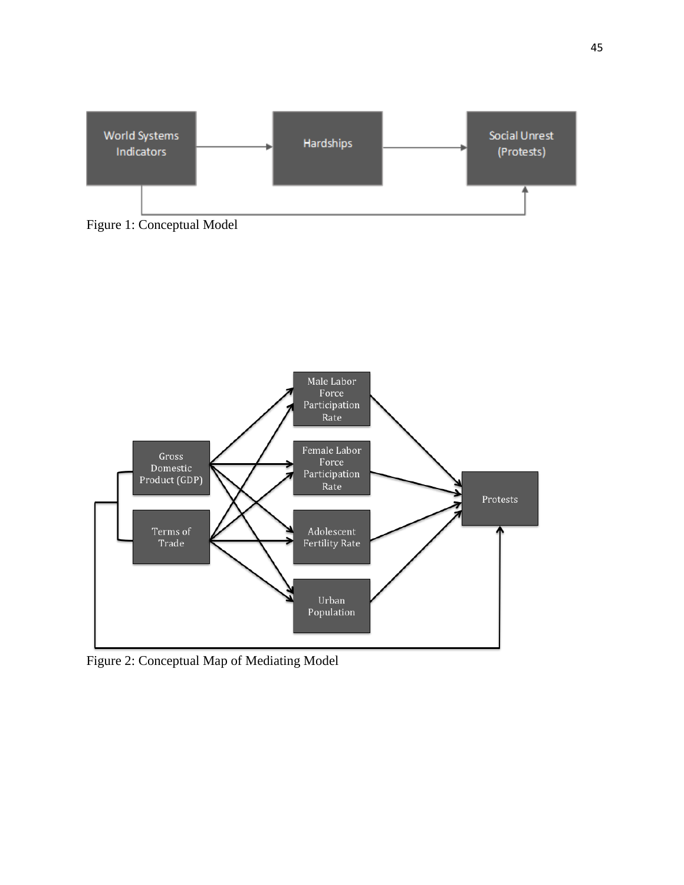

Figure 1: Conceptual Model



Figure 2: Conceptual Map of Mediating Model